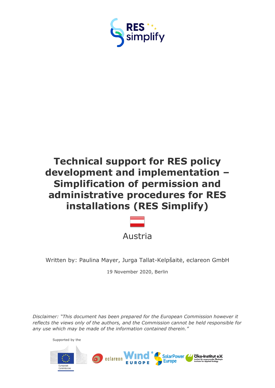

# **Technical support for RES policy development and implementation – Simplification of permission and administrative procedures for RES installations (RES Simplify)**



Written by: Paulina Mayer, Jurga Tallat-Kelpšaitė, eclareon GmbH

19 November 2020, Berlin

*Disclaimer: "This document has been prepared for the European Commission however it reflects the views only of the authors, and the Commission cannot be held responsible for any use which may be made of the information contained therein."*



Supported by the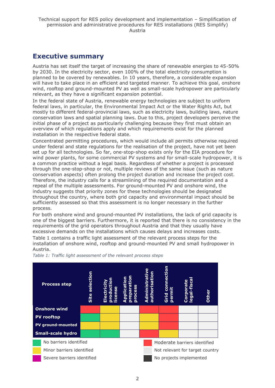## <span id="page-1-0"></span>**Executive summary**

Austria has set itself the target of increasing the share of renewable energies to 45-50% by 2030. In the electricity sector, even 100% of the total electricity consumption is planned to be covered by renewables. In 10 years, therefore, a considerable expansion will have to take place in an efficient and targeted manner. To achieve this goal, onshore wind, rooftop and ground-mounted PV as well as small-scale hydropower are particularly relevant, as they have a significant expansion potential.

In the federal state of Austria, renewable energy technologies are subject to uniform federal laws, in particular, the Environmental Impact Act or the Water Rights Act, but mostly to different federal-provincial laws, such as electricity laws, building laws, nature conservation laws and spatial planning laws. Due to this, project developers perceive the initial phase of a project as particularly challenging because they first must obtain an overview of which regulations apply and which requirements exist for the planned installation in the respective federal state.

Concentrated permitting procedures, which would include all permits otherwise required under federal and state regulations for the realisation of the project, have not yet been set up for all technologies. So far, one-stop-shop exists only for the EIA procedure for wind power plants, for some commercial PV systems and for small-scale hydropower, it is a common practice without a legal basis. Regardless of whether a project is processed through the one-stop-shop or not, multiple reviews of the same issue (such as nature conservation aspects) often prolong the project duration and increase the project cost. Therefore, the industry calls for a streamlining of the required documentation and a repeal of the multiple assessments. For ground-mounted PV and onshore wind, the industry suggests that priority zones for these technologies should be designated throughout the country, where both grid capacity and environmental impact should be sufficiently assessed so that this assessment is no longer necessary in the further process.

For both onshore wind and ground-mounted PV installations, the lack of grid capacity is one of the biggest barriers. Furthermore, it is reported that there is no consistency in the requirements of the grid operators throughout Austria and that they usually have excessive demands on the installations which causes delays and increases costs.

Table 1 contains a traffic light assessment of the relevant process steps for the installation of onshore wind, rooftop and ground-mounted PV and small hydropower in Austria.



*Table 1: Traffic light assessment of the relevant process steps*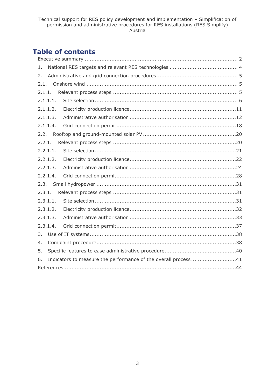## **Table of contents**

| 1.       |                                                                |  |  |
|----------|----------------------------------------------------------------|--|--|
| 2.       |                                                                |  |  |
| 2.1.     |                                                                |  |  |
| 2.1.1.   |                                                                |  |  |
| 2.1.1.1. |                                                                |  |  |
| 2.1.1.2. |                                                                |  |  |
| 2.1.1.3. |                                                                |  |  |
| 2.1.1.4. |                                                                |  |  |
| 2.2.     |                                                                |  |  |
| 2.2.1.   |                                                                |  |  |
| 2.2.1.1. |                                                                |  |  |
| 2.2.1.2. |                                                                |  |  |
| 2.2.1.3. |                                                                |  |  |
| 2.2.1.4. |                                                                |  |  |
| 2.3.     |                                                                |  |  |
| 2.3.1.   |                                                                |  |  |
| 2.3.1.1. |                                                                |  |  |
| 2.3.1.2. |                                                                |  |  |
| 2.3.1.3. |                                                                |  |  |
| 2.3.1.4. |                                                                |  |  |
| 3.       |                                                                |  |  |
| 4.       |                                                                |  |  |
| 5.       |                                                                |  |  |
| 6.       | Indicators to measure the performance of the overall process41 |  |  |
|          |                                                                |  |  |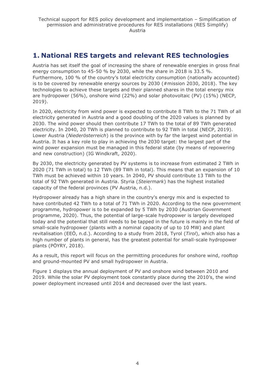## <span id="page-3-0"></span>**1. National RES targets and relevant RES technologies**

Austria has set itself the goal of increasing the share of renewable energies in gross final energy consumption to 45-50 % by 2030, while the share in 2018 is 33.5 %. Furthermore, 100 % of the country's total electricity consumption (nationally accounted) is to be covered by renewable energy sources by 2030 (#mission 2030, 2018). The key technologies to achieve these targets and their planned shares in the total energy mix are hydropower (56%), onshore wind (22%) and solar photovoltaic (PV) (15%) (NECP, 2019).

In 2020, electricity from wind power is expected to contribute 8 TWh to the 71 TWh of all electricity generated in Austria and a good doubling of the 2020 values is planned by 2030. The wind power should then contribute 17 TWh to the total of 89 TWh generated electricity. In 2040, 20 TWh is planned to contribute to 92 TWh in total (NECP, 2019). Lower Austria (*Niederösterreich*) is the province with by far the largest wind potential in Austria. It has a key role to play in achieving the 2030 target: the largest part of the wind power expansion must be managed in this federal state (by means of repowering and new construction) (IG Windkraft, 2020).

By 2030, the electricity generated by PV systems is to increase from estimated 2 TWh in 2020 (71 TWh in total) to 12 TWh (89 TWh in total). This means that an expansion of 10 TWh must be achieved within 10 years. In 2040, PV should contribute 13 TWh to the total of 92 TWh generated in Austria. Styria (*Steiermark*) has the highest installed capacity of the federal provinces (PV Austria, n.d.).

Hydropower already has a high share in the country's energy mix and is expected to have contributed 42 TWh to a total of 71 TWh in 2020. According to the new government programme, hydropower is to be expanded by 5 TWh by 2030 (Austrian Government programme, 2020). Thus, the potential of large-scale hydropower is largely developed today and the potential that still needs to be tapped in the future is mainly in the field of small-scale hydropower (plants with a nominal capacity of up to 10 MW) and plant revitalisation (EEÖ, n.d.). According to a study from 2018, Tyrol (*Tirol*), which also has a high number of plants in general, has the greatest potential for small-scale hydropower plants (PÖYRY, 2018).

As a result, this report will focus on the permitting procedures for onshore wind, rooftop and ground-mounted PV and small hydropower in Austria.

Figure 1 displays the annual deployment of PV and onshore wind between 2010 and 2019. While the solar PV deployment took constantly place during the 2010's, the wind power deployment increased until 2014 and decreased over the last years.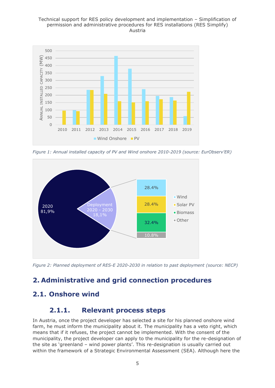#### Technical support for RES policy development and implementation – Simplification of permission and administrative procedures for RES installations (RES Simplify) Austria



*Figure 1: Annual installed capacity of PV and Wind onshore 2010-2019 (source: EurObserv'ER)*



*Figure 2: Planned deployment of RES-E 2020-2030 in relation to past deployment (source: NECP)*

## <span id="page-4-0"></span>**2. Administrative and grid connection procedures**

## <span id="page-4-2"></span><span id="page-4-1"></span>**2.1. Onshore wind**

## **2.1.1. Relevant process steps**

In Austria, once the project developer has selected a site for his planned onshore wind farm, he must inform the municipality about it. The municipality has a veto right, which means that if it refuses, the project cannot be implemented. With the consent of the municipality, the project developer can apply to the municipality for the re-designation of the site as 'greenland – wind power plants'. This re-designation is usually carried out within the framework of a Strategic Environmental Assessment (SEA). Although here the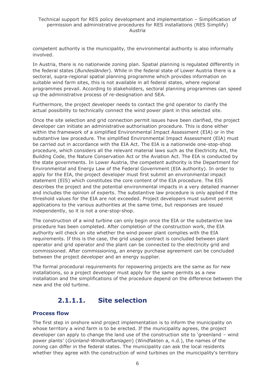competent authority is the municipality, the environmental authority is also informally involved.

In Austria, there is no nationwide zoning plan. Spatial planning is regulated differently in the federal states (*Bundesländer*). While in the federal state of Lower Austria there is a sectoral, supra-regional spatial planning programme which provides information on suitable wind farm sites, this is not available in all federal states, where regional programmes prevail. According to stakeholders, sectoral planning programmes can speed up the administrative process of re-designation and SEA.

Furthermore, the project developer needs to contact the grid operator to clarify the actual possibility to technically connect the wind power plant in this selected site.

Once the site selection and grid connection permit issues have been clarified, the project developer can initiate an administrative authorisation procedure. This is done either within the framework of a simplified Environmental Impact Assessment (EIA) or in the substantive law procedure. The simplified Environmental Impact Assessment (EIA) must be carried out in accordance with the EIA Act. The EIA is a nationwide one-stop-shop procedure, which considers all the relevant material laws such as the Electricity Act, the Building Code, the Nature Conservation Act or the Aviation Act. The EIA is conducted by the state governments. In Lower Austria, the competent authority is the Department for Environmental and Energy Law of the Federal Government (EIA authority). In order to apply for the EIA, the project developer must first submit an environmental impact statement (EIS) which constitutes the core content of the EIA procedure. The EIS describes the project and the potential environmental impacts in a very detailed manner and includes the opinion of experts. The substantive law procedure is only applied if the threshold values for the EIA are not exceeded. Project developers must submit permit applications to the various authorities at the same time, but responses are issued independently, so it is not a one-stop-shop.

The construction of a wind turbine can only begin once the EIA or the substantive law procedure has been completed. After completion of the construction work, the EIA authority will check on site whether the wind power plant complies with the EIA requirements. If this is the case, the grid usage contract is concluded between plant operator and grid operator and the plant can be connected to the electricity grid and commissioned. After commissioning, an energy purchase agreement can be concluded between the project developer and an energy supplier.

The formal procedural requirements for repowering projects are the same as for new installations, so a project developer must apply for the same permits as a new installation and the simplifications of the procedure depend on the difference between the new and the old turbine.

## **2.1.1.1. Site selection**

#### <span id="page-5-0"></span>**Process flow**

The first step in onshore wind project implementation is to inform the municipality on whose territory a wind farm is to be erected. If the municipality agrees, the project developer can apply to change the land use of the construction site to 'greenland – wind power plants' (*Grünland-Windkraftanlagen*) (Windfakten a, n.d.), the names of the zoning can differ in the federal states. The municipality can ask the local residents whether they agree with the construction of wind turbines on the municipality's territory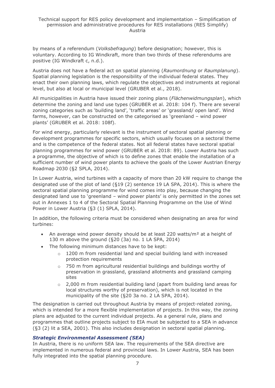by means of a referendum (*Volksbefragung*) before designation; however, this is voluntary. According to IG Windkraft, more than two thirds of these referendums are positive (IG Windkraft c, n.d.).

Austria does not have a federal act on spatial planning (*Raumordnung* or *Raumplanung*). Spatial planning legislation is the responsibility of the individual federal states. They enact their own planning laws, which regulate the objectives and instruments at regional level, but also at local or municipal level (GRUBER et al., 2018).

All municipalities in Austria have issued their zoning plans (*Flächenwidmungsplan*), which determine the zoning and land use types (GRUBER et al. 2018: 104 f). There are several zoning categories such as 'building land', 'traffic areas' or 'grassland/ open land'. Wind farms, however, can be constructed on the categorised as 'greenland – wind power plants' (GRUBER et al. 2018: 108f).

For wind energy, particularly relevant is the instrument of sectoral spatial planning or development programmes for specific sectors, which usually focuses on a sectoral theme and is the competence of the federal states. Not all federal states have sectoral spatial planning programmes for wind power (GRUBER et al. 2018: 89). Lower Austria has such a programme, the objective of which is to define zones that enable the installation of a sufficient number of wind power plants to achieve the goals of the Lower Austrian Energy Roadmap 2030 (§2 SPLA, 2014).

In Lower Austria, wind turbines with a capacity of more than 20 kW require to change the designated use of the plot of land (§19 (2) sentence 19 LA SPA, 2014). This is where the sectoral spatial planning programme for wind comes into play, because changing the designated land use to 'greenland – wind power plants' is only permitted in the zones set out in Annexes 1 to 4 of the Sectoral Spatial Planning Programme on the Use of Wind Power in Lower Austria (§3 (1) SPLA, 2014).

In addition, the following criteria must be considered when designating an area for wind turbines:

- An average wind power density should be at least 220 watts/m<sup>2</sup> at a height of 130 m above the ground (§20 (3a) no. 1 LA SPA, 2014)
- The following minimum distances have to be kept:
	- $\circ$  1200 m from residential land and special building land with increased protection requirements
	- o 750 m from agricultural residential buildings and buildings worthy of preservation in grassland, grassland allotments and grassland camping sites
	- $\circ$  2,000 m from residential building land (apart from building land areas for local structures worthy of preservation), which is not located in the municipality of the site (§20 3a no. 2 LA SPA, 2014).

The designation is carried out throughout Austria by means of project-related zoning, which is intended for a more flexible implementation of projects. In this way, the zoning plans are adjusted to the current individual projects. As a general rule, plans and programmes that outline projects subject to EIA must be subjected to a SEA in advance (§3 (2) lit a SEA, 2001). This also includes designation in sectoral spatial planning.

#### *Strategic Environmental Assessment (SEA)*

In Austria, there is no uniform SEA law. The requirements of the SEA directive are implemented in numerous federal and provincial laws. In Lower Austria, SEA has been fully integrated into the spatial planning procedure.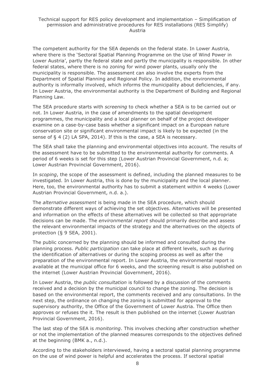The competent authority for the SEA depends on the federal state. In Lower Austria, where there is the 'Sectoral Spatial Planning Programme on the Use of Wind Power in Lower Austria', partly the federal state and partly the municipality is responsible. In other federal states, where there is no zoning for wind power plants, usually only the municipality is responsible. The assessment can also involve the experts from the Department of Spatial Planning and Regional Policy. In addition, the environmental authority is informally involved, which informs the municipality about deficiencies, if any. In Lower Austria, the environmental authority is the Department of Building and Regional Planning Law.

The SEA procedure starts with *screening* to check whether a SEA is to be carried out or not. In Lower Austria, in the case of amendments to the spatial development programmes, the municipality and a local planner on behalf of the project developer examine on a case-by-case basis whether a significant impact on a European nature conservation site or significant environmental impact is likely to be expected (in the sense of § 4 (2) LA SPA, 2014). If this is the case, a SEA is necessary.

The SEA shall take the planning and environmental objectives into account. The results of the assessment have to be submitted to the environmental authority for comments. A period of 6 weeks is set for this step (Lower Austrian Provincial Government, n.d. a; Lower Austrian Provincial Government, 2016).

In *scoping*, the scope of the assessment is defined, including the planned measures to be investigated. In Lower Austria, this is done by the municipality and the local planner. Here, too, the environmental authority has to submit a statement within 4 weeks (Lower Austrian Provincial Government, n.d. a.).

The *alternative assessment* is being made in the SEA procedure, which should demonstrate different ways of achieving the set objectives. Alternatives will be presented and information on the effects of these alternatives will be collected so that appropriate decisions can be made. The *environmental report* should primarily describe and assess the relevant environmental impacts of the strategy and the alternatives on the objects of protection (§ 9 SEA, 2001).

The public concerned by the planning should be informed and consulted during the planning process. *Public participation* can take place at different levels, such as during the identification of alternatives or during the scoping process as well as after the preparation of the environmental report. In Lower Austria, the environmental report is available at the municipal office for 6 weeks, and the screening result is also published on the internet (Lower Austrian Provincial Government, 2016).

In Lower Austria, the *public consultation* is followed by a discussion of the comments received and a decision by the municipal council to change the zoning. The decision is based on the environmental report, the comments received and any consultations. In the next step, the ordinance on changing the zoning is submitted for approval to the supervisory authority, the Office of the Government of Lower Austria. The Office then approves or refuses the it. The result is then published on the internet (Lower Austrian Provincial Government, 2016).

The last step of the SEA is *monitoring*. This involves checking after construction whether or not the implementation of the planned measures corresponds to the objectives defined at the beginning (BMK a., n.d.).

According to the stakeholders interviewed, having a sectoral spatial planning programme on the use of wind power is helpful and accelerates the process. If sectoral spatial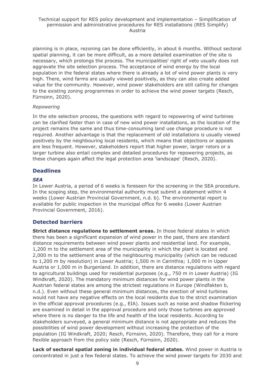planning is in place, rezoning can be done efficiently, in about 6 months. Without sectoral spatial planning, it can be more difficult, as a more detailed examination of the site is necessary, which prolongs the process. The municipalities' right of veto usually does not aggravate the site selection process. The acceptance of wind energy by the local population in the federal states where there is already a lot of wind power plants is very high. There, wind farms are usually viewed positively, as they can also create added value for the community. However, wind power stakeholders are still calling for changes to the existing zoning programmes in order to achieve the wind power targets (Resch, Fürnsinn, 2020).

#### *Repowering*

In the site selection process, the questions with regard to repowering of wind turbines can be clarified faster than in case of new wind power installations, as the location of the project remains the same and thus time-consuming land use change procedure is not required. Another advantage is that the replacement of old installations is usually viewed positively by the neighbouring local residents, which means that objections or appeals are less frequent. However, stakeholders report that higher power, larger rotors or a larger turbine also entail complex and detailed procedures for repowering projects, as these changes again affect the legal protection area 'landscape' (Resch, 2020).

#### **Deadlines**

#### *SEA*

In Lower Austria, a period of 6 weeks is foreseen for the screening in the SEA procedure. In the scoping step, the environmental authority must submit a statement within 4 weeks (Lower Austrian Provincial Government, n.d. b). The environmental report is available for public inspection in the municipal office for 6 weeks (Lower Austrian Provincial Government, 2016).

### **Detected barriers**

**Strict distance regulations to settlement areas.** In those federal states in which there has been a significant expansion of wind power in the past, there are standard distance requirements between wind power plants and residential land. For example, 1,200 m to the settlement area of the municipality in which the plant is located and 2,000 m to the settlement area of the neighbouring municipality (which can be reduced to 1,200 m by resolution) in Lower Austria; 1,500 m in Carinthia; 1,000 m in Upper Austria or 1,000 m in Burgenland. In addition, there are distance regulations with regard to agricultural buildings used for residential purposes (e.g., 750 m in Lower Austria) (IG Windkraft, 2020). The mandatory minimum distances for wind power plants in the Austrian federal states are among the strictest regulations in Europe (Windfakten b, n.d.). Even without these general minimum distances, the erection of wind turbines would not have any negative effects on the local residents due to the strict examination in the official approval procedures (e.g., EIA). Issues such as noise and shadow flickering are examined in detail in the approval procedure and only those turbines are approved where there is no danger to the life and health of the local residents. According to stakeholders surveyed, a general minimum distance is not appropriate and reduces the possibilities of wind power development without increasing the protection of the population (IG Windkraft, 2020; Resch, Fürnsinn, 2020). Therefore, they call for a more flexible approach from the policy side (Resch, Fürnsinn, 2020).

**Lack of sectoral spatial zoning in individual federal states.** Wind power in Austria is concentrated in just a few federal states. To achieve the wind power targets for 2030 and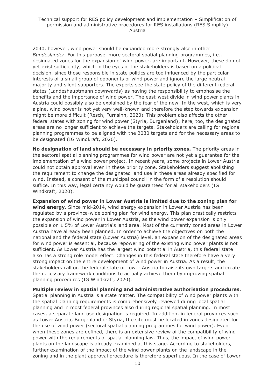#### Technical support for RES policy development and implementation – Simplification of permission and administrative procedures for RES installations (RES Simplify) Austria

2040, however, wind power should be expanded more strongly also in other *Bundesländer*. For this purpose, more sectoral spatial planning programmes, i.e., designated zones for the expansion of wind power, are important. However, these do not yet exist sufficiently, which in the eyes of the stakeholders is based on a political decision, since those responsible in state politics are too influenced by the particular interests of a small group of opponents of wind power and ignore the large neutral majority and silent supporters. The experts see the state policy of the different federal states (Landeshauptmann downwards) as having the responsibility to emphasise the benefits and the importance of wind power. The east-west divide in wind power plants in Austria could possibly also be explained by the fear of the new. In the west, which is very alpine, wind power is not yet very well-known and therefore the step towards expansion might be more difficult (Resch, Fürnsinn, 2020). This problem also affects the other federal states with zoning for wind power (Styria, Burgenland); here, too, the designated areas are no longer sufficient to achieve the targets. Stakeholders are calling for regional planning programmes to be aligned with the 2030 targets and for the necessary areas to be designated (IG Windkraft, 2020).

**No designation of land should be necessary in priority zones.** The priority areas in the sectoral spatial planning programmes for wind power are not yet a guarantee for the implementation of a wind power project. In recent years, some projects in Lower Austria could not obtain approval even in these priority zone. Stakeholders suggest abolishing the requirement to change the designated land use in these areas already specified for wind. Instead, a consent of the municipal council in the form of a resolution should suffice. In this way, legal certainty would be guaranteed for all stakeholders (IG Windkraft, 2020).

**Expansion of wind power in Lower Austria is limited due to the zoning plan for wind energy**. Since mid-2014, wind energy expansion in Lower Austria has been regulated by a province-wide zoning plan for wind energy. This plan drastically restricts the expansion of wind power in Lower Austria, as the wind power expansion is only possible on 1.5% of Lower Austria's land area. Most of the currently zoned areas in Lower Austria have already been planned. In order to achieve the objectives on both the national and the federal state (Lower Austria) level, an expansion of the designated areas for wind power is essential, because repowering of the existing wind power plants is not sufficient. As Lower Austria has the largest wind potential in Austria, this federal state also has a strong role model effect. Changes in this federal state therefore have a very strong impact on the entire development of wind power in Austria. As a result, the stakeholders call on the federal state of Lower Austria to raise its own targets and create the necessary framework conditions to actually achieve them by improving spatial planning procedures (IG Windkraft, 2020).

**Multiple review in spatial planning and administrative authorisation procedures**. Spatial planning in Austria is a state matter. The compatibility of wind power plants with the spatial planning requirements is comprehensively reviewed during local spatial planning and in most federal provinces also during regional spatial planning. In most cases, a separate land use designation is required. In addition, in federal provinces such as Lower Austria, Burgenland or Styria, the site must be located in zones designated for the use of wind power (sectoral spatial planning programmes for wind power). Even when these zones are defined, there is an extensive review of the compatibility of wind power with the requirements of spatial planning law. Thus, the impact of wind power plants on the landscape is already examined at this stage. According to stakeholders, further examination of the impact of the wind power plants on the landscape in the zoning and in the plant approval procedure is therefore superfluous. In the case of Lower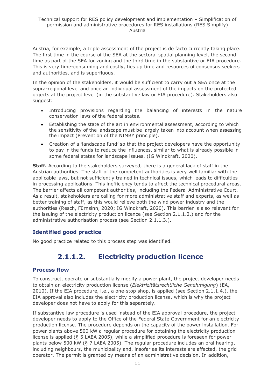Austria, for example, a triple assessment of the project is de facto currently taking place. The first time in the course of the SEA at the sectoral spatial planning level, the second time as part of the SEA for zoning and the third time in the substantive or EIA procedure. This is very time-consuming and costly, ties up time and resources of consensus seekers and authorities, and is superfluous.

In the opinion of the stakeholders, it would be sufficient to carry out a SEA once at the supra-regional level and once an individual assessment of the impacts on the protected objects at the project level (in the substantive law or EIA procedure). Stakeholders also suggest:

- Introducing provisions regarding the balancing of interests in the nature conservation laws of the federal states.
- Establishing the state of the art in environmental assessment, according to which the sensitivity of the landscape must be largely taken into account when assessing the impact (Prevention of the NIMBY principle).
- Creation of a 'landscape fund' so that the project developers have the opportunity to pay in the funds to reduce the influences, similar to what is already possible in some federal states for landscape issues. (IG Windkraft, 2020).

**Staff.** According to the stakeholders surveyed, there is a general lack of staff in the Austrian authorities. The staff of the competent authorities is very well familiar with the applicable laws, but not sufficiently trained in technical issues, which leads to difficulties in processing applications. This inefficiency tends to affect the technical procedural areas. The barrier affects all competent authorities, including the Federal Administrative Court. As a result, stakeholders are calling for more administrative staff and experts, as well as better training of staff, as this would relieve both the wind power industry and the authorities (Resch, Fürnsinn, 2020; IG Windkraft, 2020). This barrier is also relevant for the issuing of the electricity production licence (see Section 2.1.1.2.) and for the administrative authorisation process (see Section 2.1.1.3.).

### **Identified good practice**

<span id="page-10-0"></span>No good practice related to this process step was identified.

## **2.1.1.2. Electricity production licence**

#### **Process flow**

To construct, operate or substantially modify a power plant, the project developer needs to obtain an electricity production license (*Elektrizitätsrechtliche Genehmigung*) (EA, 2010). If the EIA procedure, i.e., a one-stop shop, is applied (see Section 2.1.1.4.), the EIA approval also includes the electricity production license, which is why the project developer does not have to apply for this separately.

If substantive law procedure is used instead of the EIA approval procedure, the project developer needs to apply to the Office of the Federal State Government for an electricity production license. The procedure depends on the capacity of the power installation. For power plants above 500 kW a regular procedure for obtaining the electricity production license is applied (§ 5 LAEA 2005), while a simplified procedure is foreseen for power plants below 500 kW (§ 7 LAEA 2005). The regular procedure includes an oral hearing, including neighbours, the municipality and, insofar as its interests are affected, the grid operator. The permit is granted by means of an administrative decision. In addition,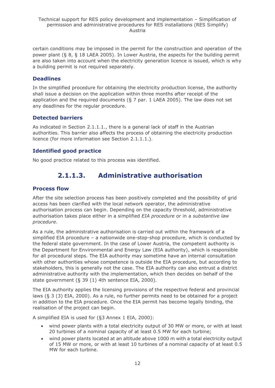certain conditions may be imposed in the permit for the construction and operation of the power plant (§ 8, § 18 LAEA 2005). In Lower Austria, the aspects for the building permit are also taken into account when the electricity generation licence is issued, which is why a building permit is not required separately.

### **Deadlines**

In the simplified procedure for obtaining the electricity production license, the authority shall issue a decision on the application within three months after receipt of the application and the required documents ( $\S$  7 par. 1 LAEA 2005). The law does not set any deadlines for the regular procedure.

## **Detected barriers**

As indicated in Section 2.1.1.1., there is a general lack of staff in the Austrian authorities. This barrier also affects the process of obtaining the electricity production licence (for more information see Section 2.1.1.1.).

## **Identified good practice**

<span id="page-11-0"></span>No good practice related to this process was identified.

## **2.1.1.3. Administrative authorisation**

## **Process flow**

After the site selection process has been positively completed and the possibility of grid access has been clarified with the local network operator, the administrative authorisation process can begin. Depending on the capacity threshold, administrative authorisation takes place either in a simplified *EIA procedure* or in a *substantive law procedure*.

As a rule, the administrative authorisation is carried out within the framework of a simplified EIA procedure – a nationwide one-stop-shop procedure, which is conducted by the federal state government. In the case of Lower Austria, the competent authority is the Department for Environmental and Energy Law (EIA authority), which is responsible for all procedural steps. The EIA authority may sometime have an internal consultation with other authorities whose competence is outside the EIA procedure, but according to stakeholders, this is generally not the case. The EIA authority can also entrust a district administrative authority with the implementation, which then decides on behalf of the state government (§ 39 (1) 4th sentence EIA, 2000).

The EIA authority applies the licensing provisions of the respective federal and provincial laws (§ 3 (3) EIA, 2000). As a rule, no further permits need to be obtained for a project in addition to the EIA procedure. Once the EIA permit has become legally binding, the realisation of the project can begin.

A simplified EIA is used for (§3 Annex 1 EIA, 2000):

- wind power plants with a total electricity output of 30 MW or more, or with at least 20 turbines of a nominal capacity of at least 0.5 MW for each turbine;
- wind power plants located at an altitude above 1000 m with a total electricity output of 15 MW or more, or with at least 10 turbines of a nominal capacity of at least 0.5 MW for each turbine.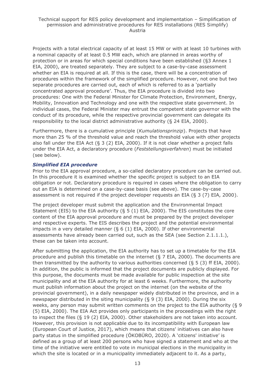Projects with a total electrical capacity of at least 15 MW or with at least 10 turbines with a nominal capacity of at least 0.5 MW each, which are planned in areas worthy of protection or in areas for which special conditions have been established (§3 Annex 1 EIA, 2000), are treated separately. They are subject to a case-by-case assessment whether an EIA is required at all. If this is the case, there will be a concentration of procedures within the framework of the simplified procedure. However, not one but two separate procedures are carried out, each of which is referred to as a 'partially concentrated approval procedure'. Thus, the EIA procedure is divided into two procedures: One with the Federal Minister for Climate Protection, Environment, Energy, Mobility, Innovation and Technology and one with the respective state government. In individual cases, the Federal Minister may entrust the competent state governor with the conduct of its procedure, while the respective provincial government can delegate its responsibility to the local district administrative authority (§ 24 EIA, 2000).

Furthermore, there is a cumulative principle (*Kumulationsprinzip*). Projects that have more than 25 % of the threshold value and reach the threshold value with other projects also fall under the EIA Act  $(§ 3 (2)$  EIA, 2000). If it is not clear whether a project falls under the EIA Act, a declaratory procedure (*Feststellungsverfahren*) must be initiated (see below).

#### *Simplified EIA procedure*

Prior to the EIA approval procedure, a so-called declaratory procedure can be carried out. In this procedure it is examined whether the specific project is subject to an EIA obligation or not. Declaratory procedure is required in cases where the obligation to carry out an EIA is determined on a case-by-case basis (see above). The case-by-case assessment is not required if the project developer requests an EIA (§ 3 (7) EIA, 2000).

The project developer must submit the application and the Environmental Impact Statement (EIS) to the EIA authority ( $\S$  5 (1) EIA, 2000). The EIS constitutes the core content of the EIA approval procedure and must be prepared by the project developer and respective experts. The EIS describes the project and the potential environmental impacts in a very detailed manner (§ 6 (1) EIA, 2000). If other environmental assessments have already been carried out, such as the SEA (see Section 2.1.1.1.), these can be taken into account.

After submitting the application, the EIA authority has to set up a timetable for the EIA procedure and publish this timetable on the internet (§ 7 EIA, 2000). The documents are then transmitted by the authority to various authorities concerned  $(§ 5 (3)$  ff EIA, 2000). In addition, the public is informed that the project documents are publicly displayed. For this purpose, the documents must be made available for public inspection at the site municipality and at the EIA authority for at least 6 weeks. Furthermore, the authority must publish information about the project on the internet (on the website of the provincial government), in a daily newspaper widely distributed in the province, and in a newspaper distributed in the siting municipality (§ 9 (3) EIA, 2000). During the six weeks, any person may submit written comments on the project to the EIA authority (§ 9 (5) EIA, 2000). The EIA Act provides only participants in the proceedings with the right to inspect the files (§ 19 (2) EIA, 2000). Other stakeholders are not taken into account. However, this provision is not applicable due to its incompatibility with European law (European Court of Justice, 2017), which means that citizens' initiatives can also have party status in the simplified procedure (ÖKOBÜRO, 2020). A 'citizens' initiative' is defined as a group of at least 200 persons who have signed a statement and who at the time of the initiative were entitled to vote in municipal elections in the municipality in which the site is located or in a municipality immediately adjacent to it. As a party,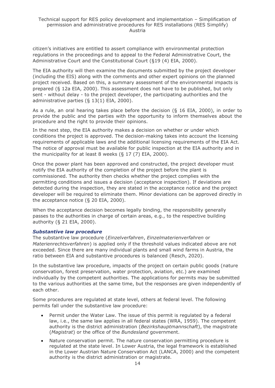citizen's initiatives are entitled to assert compliance with environmental protection regulations in the proceedings and to appeal to the Federal Administrative Court, the Administrative Court and the Constitutional Court (§19 (4) EIA, 2000).

The EIA authority will then examine the documents submitted by the project developer (including the EIS) along with the comments and other expert opinions on the planned project received. Based on this, a summary assessment of the environmental impacts is prepared (§ 12a EIA, 2000). This assessment does not have to be published, but only sent - without delay - to the project developer, the participating authorities and the administrative parties (§ 13(1) EIA, 2000).

As a rule, an oral hearing takes place before the decision (§ 16 EIA, 2000), in order to provide the public and the parties with the opportunity to inform themselves about the procedure and the right to provide their opinions.

In the next step, the EIA authority makes a decision on whether or under which conditions the project is approved. The decision-making takes into account the licensing requirements of applicable laws and the additional licensing requirements of the EIA Act. The notice of approval must be available for public inspection at the EIA authority and in the municipality for at least 8 weeks (§ 17 (7) EIA, 2000).

Once the power plant has been approved and constructed, the project developer must notify the EIA authority of the completion of the project before the plant is commissioned. The authority then checks whether the project complies with the permitting conditions and issues a decision (acceptance inspection). If deviations are detected during the inspection, they are stated in the acceptance notice and the project developer will be required to eliminate them. Minor deviations can be approved directly in the acceptance notice (§ 20 EIA, 2000).

When the acceptance decision becomes legally binding, the responsibility generally passes to the authorities in charge of certain areas, e.g., to the respective building authority (§ 21 EIA, 2000).

#### *Substantive law procedure*

The substantive law procedure (*Einzelverfahren*, *Einzelmaterienverfahren* or *Materienrechtsverfahren*) is applied only if the threshold values indicated above are not exceeded. Since there are many individual plants and small wind farms in Austria, the ratio between EIA and substantive procedures is balanced (Resch, 2020).

In the substantive law procedure, impacts of the project on certain public goods (nature conservation, forest preservation, water protection, aviation, etc.) are examined individually by the competent authorities. The applications for permits may be submitted to the various authorities at the same time, but the responses are given independently of each other.

Some procedures are regulated at state level, others at federal level. The following permits fall under the substantive law procedure:

- Permit under the Water Law. The issue of this permit is regulated by a federal law, i.e., the same law applies in all federal states (WRA, 1959). The competent authority is the district administration (*Bezirkshauptmannschaft*), the magistrate (*Magistrat*) or the office of the *Bundesland* government.
- Nature conservation permit. The nature conservation permitting procedure is regulated at the state level. In Lower Austria, the legal framework is established in the Lower Austrian Nature Conservation Act (LANCA, 2000) and the competent authority is the district administration or magistrate.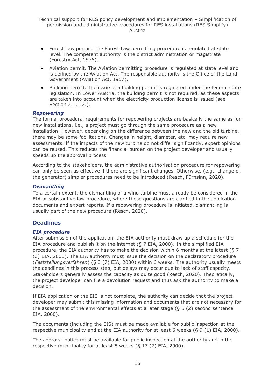- Forest Law permit. The Forest Law permitting procedure is regulated at state level. The competent authority is the district administration or magistrate (Forestry Act, 1975).
- Aviation permit. The Aviation permitting procedure is regulated at state level and is defined by the Aviation Act. The responsible authority is the Office of the Land Government (Aviation Act, 1957).
- Building permit. The issue of a building permit is regulated under the federal state legislation. In Lower Austria, the building permit is not required, as these aspects are taken into account when the electricity production license is issued (see Section 2.1.1.2.).

#### *Repowering*

The formal procedural requirements for repowering projects are basically the same as for new installations, i.e., a project must go through the same procedure as a new installation. However, depending on the difference between the new and the old turbine, there may be some facilitations. Changes in height, diameter, etc. may require new assessments. If the impacts of the new turbine do not differ significantly, expert opinions can be reused. This reduces the financial burden on the project developer and usually speeds up the approval process.

According to the stakeholders, the administrative authorisation procedure for repowering can only be seen as effective if there are significant changes. Otherwise, (e.g., change of the generator) simpler procedures need to be introduced (Resch, Fürnsinn, 2020).

#### *Dismantling*

To a certain extent, the dismantling of a wind turbine must already be considered in the EIA or substantive law procedure, where these questions are clarified in the application documents and expert reports. If a repowering procedure is initiated, dismantling is usually part of the new procedure (Resch, 2020).

#### **Deadlines**

#### *EIA procedure*

After submission of the application, the EIA authority must draw up a schedule for the EIA procedure and publish it on the internet (§ 7 EIA, 2000). In the simplified EIA procedure, the EIA authority has to make the decision within 6 months at the latest (§ 7 (3) EIA, 2000). The EIA authority must issue the decision on the declaratory procedure (*Feststellungsverfahren*) (§ 3 (7) EIA, 2000) within 6 weeks. The authority usually meets the deadlines in this process step, but delays may occur due to lack of staff capacity. Stakeholders generally assess the capacity as quite good (Resch, 2020). Theoretically, the project developer can file a devolution request and thus ask the authority to make a decision.

If EIA application or the EIS is not complete, the authority can decide that the project developer may submit this missing information and documents that are not necessary for the assessment of the environmental effects at a later stage (§ 5 (2) second sentence EIA, 2000).

The documents (including the EIS) must be made available for public inspection at the respective municipality and at the EIA authority for at least 6 weeks (§ 9 (1) EIA, 2000).

The approval notice must be available for public inspection at the authority and in the respective municipality for at least 8 weeks (§ 17 (7) EIA, 2000).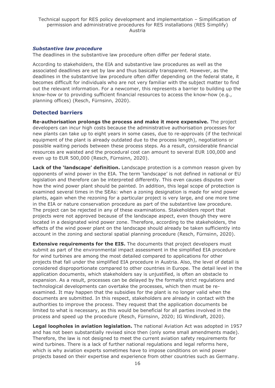#### *Substantive law procedure*

The deadlines in the substantive law procedure often differ per federal state.

According to stakeholders, the EIA and substantive law procedures as well as the associated deadlines are set by law and thus basically transparent. However, as the deadlines in the substantive law procedure often differ depending on the federal state, it becomes difficult for individuals who are not very familiar with the subject matter to find out the relevant information. For a newcomer, this represents a barrier to building up the know-how or to providing sufficient financial resources to access the know-how (e.g., planning offices) (Resch, Fürnsinn, 2020).

#### **Detected barriers**

**Re-authorisation prolongs the process and make it more expensive.** The project developers can incur high costs because the administrative authorisation processes for new plants can take up to eight years in some cases, due to re-approvals (if the technical equipment of the plant is already outdated due to the process length), negotiations or possible waiting periods between these process steps. As a result, considerable financial resources are waisted and the procedural cost can amount to several EUR 100,000 and even up to EUR 500,000 (Resch, Fürnsinn, 2020).

**Lack of the 'landscape' definition.** Landscape protection is a common reason given by opponents of wind power in the EIA. The term 'landscape' is not defined in national or EU legislation and therefore can be interpreted differently. This even causes disputes over how the wind power plant should be painted. In addition, this legal scope of protection is examined several times in the SEAs: when a zoning designation is made for wind power plants, again when the rezoning for a particular project is very large, and one more time in the EIA or nature conservation procedure as part of the substantive law procedure. The project can be rejected in any of these examinations. Stakeholders report that projects were not approved because of the landscape aspect, even though they were located in a designated wind power zone. Therefore, according to the stakeholders, the effects of the wind power plant on the landscape should already be taken sufficiently into account in the zoning and sectoral spatial planning procedure (Resch, Fürnsinn, 2020).

**Extensive requirements for the EIS.** The documents that project developers must submit as part of the environmental impact assessment in the simplified EIA procedure for wind turbines are among the most detailed compared to applications for other projects that fall under the simplified EIA procedure in Austria. Also, the level of detail is considered disproportionate compared to other countries in Europe. The detail level in the application documents, which stakeholders say is unjustified, is often an obstacle to expansion. As a result, processes can be delayed by the formally strict regulations and technological developments can overtake the processes, which then must be reexamined. It may happen that the subsidies for the plant is no longer valid when the documents are submitted. In this respect, stakeholders are already in contact with the authorities to improve the process. They request that the application documents be limited to what is necessary, as this would be beneficial for all parties involved in the process and speed up the procedure (Resch, Fürnsinn, 2020; IG Windkraft, 2020).

**Legal loopholes in aviation legislation.** The national Aviation Act was adopted in 1957 and has not been substantially revised since then (only some small amendments made). Therefore, the law is not designed to meet the current aviation safety requirements for wind turbines. There is a lack of further national regulations and legal reforms here, which is why aviation experts sometimes have to impose conditions on wind power projects based on their expertise and experience from other countries such as Germany.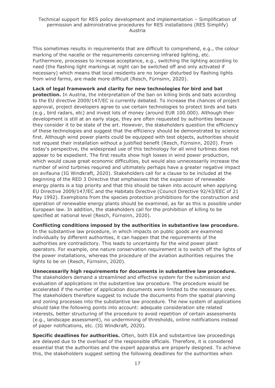This sometimes results in requirements that are difficult to comprehend, e.g., the colour marking of the nacelle or the requirements concerning infrared lighting, etc. Furthermore, processes to increase acceptance, e.g., switching the lighting according to need (the flashing light markings at night can be switched off and only activated if necessary) which means that local residents are no longer disturbed by flashing lights from wind farms, are made more difficult (Resch, Fürnsinn, 2020).

**Lack of legal framework and clarity for new technologies for bird and bat protection.** In Austria, the interpretation of the ban on killing birds and bats according to the EU directive 2009/147/EC is currently debated. To increase the chances of project approval, project developers agree to use certain technologies to protect birds and bats (e.g., bird radars, etc) and invest lots of money (around EUR 100.000). Although their development is still at an early stage, they are often requested by authorities because they consider it to be state of the art. However, the stakeholders question the efficiency of these technologies and suggest that the efficiency should be demonstrated by science first. Although wind power plants could be equipped with test objects, authorities should not request their installation without a justified benefit (Resch, Fürnsinn, 2020). From today's perspective, the widespread use of this technology for all wind turbines does not appear to be expedient. The first results show high losses in wind power production, which would cause great economic difficulties, but would also unnecessarily increase the number of wind turbines required and ultimately perhaps have a greater negative impact on avifauna (IG Windkraft, 2020). Stakeholders call for a clause to be included at the beginning of the RED 3 Directive that emphasises that the expansion of renewable energy plants is a top priority and that this should be taken into account when applying EU Directive 2009/147/EC and the Habitats Directive (Council Directive 92/43/EEC of 21 May 1992). Exemptions from the species protection prohibitions for the construction and operation of renewable energy plants should be examined, as far as this is possible under European law. In addition, the stakeholders call for the prohibition of killing to be specified at national level (Resch, Fürnsinn, 2020).

**Conflicting conditions imposed by the authorities in substantive law procedure.** In the substantive law procedure, in which impacts on public goods are examined individually by different authorities, it can happen that the requirements of the authorities are contradictory. This leads to uncertainty for the wind power plant operators. For example, one nature conservation requirement is to switch off the lights of the power installations, whereas the procedure of the aviation authorities requires the lights to be on (Resch, Fürnsinn, 2020).

**Unnecessarily high requirements for documents in substantive law procedure.**  The stakeholders demand a streamlined and effective system for the submission and evaluation of applications in the substantive law procedure. The procedure would be accelerated if the number of application documents were limited to the necessary ones. The stakeholders therefore suggest to include the documents from the spatial planning and zoning processes into the substantive law procedure. The new system of applications should take the following points into account: adequate consideration site related interests, better structuring of the procedure to avoid repetition of certain assessments (e.g., landscape assessment), no undermining of thresholds, online notifications instead of paper notifications, etc. (IG Windkraft, 2020).

**Specific deadlines for authorities.** Often, both EIA and substantive law proceedings are delayed due to the overload of the responsible officials. Therefore, it is considered essential that the authorities and the expert apparatus are properly designed. To achieve this, the stakeholders suggest setting the following deadlines for the authorities when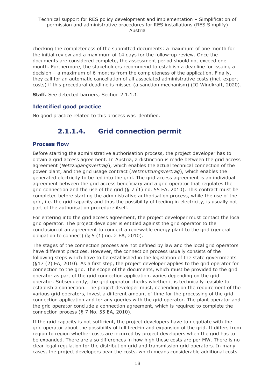checking the completeness of the submitted documents: a maximum of one month for the initial review and a maximum of 14 days for the follow-up review. Once the documents are considered complete, the assessment period should not exceed one month. Furthermore, the stakeholders recommend to establish a deadline for issuing a decision – a maximum of 6 months from the completeness of the application. Finally, they call for an automatic cancellation of all associated administrative costs (incl. expert costs) if this procedural deadline is missed (a sanction mechanism) (IG Windkraft, 2020).

**Staff.** See detected barriers, Section 2.1.1.1.

## **Identified good practice**

<span id="page-17-0"></span>No good practice related to this process was identified.

## **2.1.1.4. Grid connection permit**

#### **Process flow**

Before starting the administrative authorisation process, the project developer has to obtain a grid access agreement. In Austria, a distinction is made between the grid access agreement (*Netzzugangsvertrag*), which enables the actual technical connection of the power plant, and the grid usage contract (*Netznutzungsvertrag*), which enables the generated electricity to be fed into the grid. The grid access agreement is an individual agreement between the grid access beneficiary and a grid operator that regulates the grid connection and the use of the grid  $($   $\frac{5}{7}$   $(1)$  no. 55 EA, 2010). This contract must be completed before starting the administrative authorisation process, while the use of the grid, i.e. the grid capacity and thus the possibility of feeding in electricity, is usually not part of the authorisation procedure itself.

For entering into the grid access agreement, the project developer must contact the local grid operator. The project developer is entitled against the grid operator to the conclusion of an agreement to connect a renewable energy plant to the grid (general obligation to connect)  $(§ 5 (1)$  no. 2 EA, 2010).

The stages of the connection process are not defined by law and the local grid operators have different practices. However, the connection process usually consists of the following steps which have to be established in the legislation of the state governments (§17 (2) EA, 2010). As a first step, the project developer applies to the grid operator for connection to the grid. The scope of the documents, which must be provided to the grid operator as part of the grid connection application, varies depending on the grid operator. Subsequently, the grid operator checks whether it is technically feasible to establish a connection. The project developer must, depending on the requirement of the various grid operators, invest a different amount of time for the processing of the grid connection application and for any queries with the grid operator. The plant operator and the grid operator conclude a connection agreement, which is required to complete the connection process (§ 7 No. 55 EA, 2010).

If the grid capacity is not sufficient, the project developers have to negotiate with the grid operator about the possibility of full feed-in and expansion of the grid. It differs from region to region whether costs are incurred by project developers when the grid has to be expanded. There are also differences in how high these costs are per MW. There is no clear legal regulation for the distribution grid and transmission grid operators. In many cases, the project developers bear the costs, which means considerable additional costs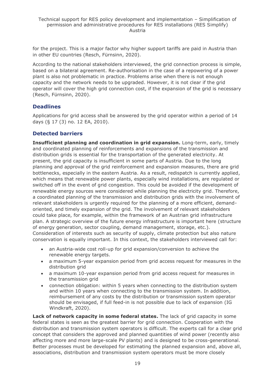for the project. This is a major factor why higher support tariffs are paid in Austria than in other EU countries (Resch, Fürnsinn, 2020).

According to the national stakeholders interviewed, the grid connection process is simple, based on a bilateral agreement. Re-authorisation in the case of a repowering of a power plant is also not problematic in practice. Problems arise when there is not enough capacity and the network needs to be upgraded. However, it is not clear if the grid operator will cover the high grid connection cost, if the expansion of the grid is necessary (Resch, Fürnsinn, 2020).

### **Deadlines**

Applications for grid access shall be answered by the grid operator within a period of 14 days (§ 17 (3) no. 12 EA, 2010).

## **Detected barriers**

**Insufficient planning and coordination in grid expansion.** Long-term, early, timely and coordinated planning of reinforcements and expansions of the transmission and distribution grids is essential for the transportation of the generated electricity. At present, the grid capacity is insufficient in some parts of Austria. Due to the long planning and approval of the grid reinforcement and expansion measures, there are grid bottlenecks, especially in the eastern Austria. As a result, redispatch is currently applied, which means that renewable power plants, especially wind installations, are regulated or switched off in the event of grid congestion. This could be avoided if the development of renewable energy sources were considered while planning the electricity grid. Therefore, a coordinated planning of the transmission and distribution grids with the involvement of relevant stakeholders is urgently required for the planning of a more efficient, demandoriented, and timely expansion of the grid. The involvement of relevant stakeholders could take place, for example, within the framework of an Austrian grid infrastructure plan. A strategic overview of the future energy infrastructure is important here (structure of energy generation, sector coupling, demand management, storage, etc.). Consideration of interests such as security of supply, climate protection but also nature conservation is equally important. In this context, the stakeholders interviewed call for:

- an Austria-wide cost roll-up for grid expansion/conversion to achieve the renewable energy targets.
- a maximum 5-year expansion period from grid access request for measures in the distribution grid
- a maximum 10-year expansion period from grid access request for measures in the transmission grid
- connection obligation: within 5 years when connecting to the distribution system and within 10 years when connecting to the transmission system. In addition, reimbursement of any costs by the distribution or transmission system operator should be envisaged, if full feed-in is not possible due to lack of expansion (IG Windkraft, 2020).

**Lack of network capacity in some federal states.** The lack of grid capacity in some federal states is seen as the greatest barrier for grid connection. Cooperation with the distribution and transmission system operators is difficult. The experts call for a clear grid concept that considers the approved and planned quantities of wind power (recently also affecting more and more large-scale PV plants) and is designed to be cross-generational. Better processes must be developed for estimating the planned expansion and, above all, associations, distribution and transmission system operators must be more closely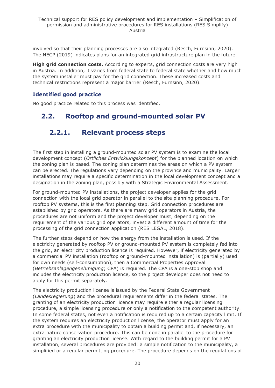involved so that their planning processes are also integrated (Resch, Fürnsinn, 2020). The NECP (2019) indicates plans for an integrated grid infrastructure plan in the future.

**High grid connection costs.** According to experts, grid connection costs are very high in Austria. In addition, it varies from federal state to federal state whether and how much the system installer must pay for the grid connection. These increased costs and technical restrictions represent a major barrier (Resch, Fürnsinn, 2020).

### **Identified good practice**

<span id="page-19-0"></span>No good practice related to this process was identified.

## <span id="page-19-1"></span>**2.2. Rooftop and ground-mounted solar PV**

## **2.2.1. Relevant process steps**

The first step in installing a ground-mounted solar PV system is to examine the local development concept (*Örtliches Entwicklungskonzept*) for the planned location on which the zoning plan is based. The zoning plan determines the areas on which a PV system can be erected. The regulations vary depending on the province and municipality. Larger installations may require a specific determination in the local development concept and a designation in the zoning plan, possibly with a Strategic Environmental Assessment.

For ground-mounted PV installations, the project developer applies for the grid connection with the local grid operator in parallel to the site planning procedure. For rooftop PV systems, this is the first planning step. Grid connection procedures are established by grid operators. As there are many grid operators in Austria, the procedures are not uniform and the project developer must, depending on the requirement of the various grid operators, invest a different amount of time for the processing of the grid connection application (RES LEGAL, 2018).

The further steps depend on how the energy from the installation is used. If the electricity generated by rooftop PV or ground-mounted PV system is completely fed into the grid, an electricity production licence is required. However, if electricity generated by a commercial PV installation (rooftop or ground-mounted installation) is (partially) used for own needs (self-consumption), then a Commercial Properties Approval (*Betriebsanlagengenehmigung*; CPA) is required. The CPA is a one-stop shop and includes the electricity production licence, so the project developer does not need to apply for this permit separately.

The electricity production license is issued by the Federal State Government (*Landesregierung*) and the procedural requirements differ in the federal states. The granting of an electricity production licence may require either a regular licensing procedure, a simple licensing procedure or only a notification to the competent authority. In some federal states, not even a notification is required up to a certain capacity limit. If the system requires an electricity production license, the operator must apply for an extra procedure with the municipality to obtain a building permit and, if necessary, an extra nature conservation procedure. This can be done in parallel to the procedure for granting an electricity production license. With regard to the building permit for a PV installation, several procedures are provided: a simple notification to the municipality, a simplified or a regular permitting procedure. The procedure depends on the regulations of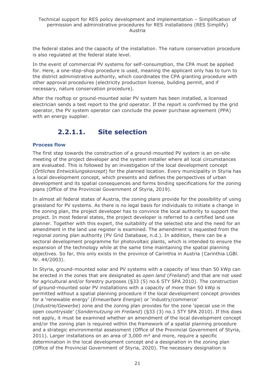the federal states and the capacity of the installation. The nature conservation procedure is also regulated at the federal state level.

In the event of commercial PV systems for self-consumption, the CPA must be applied for. Here, a one-stop-shop procedure is used, meaning the applicant only has to turn to the district administrative authority, which coordinates the CPA granting procedure with other approval procedures (electricity production license, building permit, and if necessary, nature conservation procedure).

After the rooftop or ground-mounted solar PV system has been installed, a licensed electrician sends a test report to the grid operator. If the report is confirmed by the grid operator, the PV system operator can conclude the power purchase agreement (PPA) with an energy supplier.

## **2.2.1.1. Site selection**

#### <span id="page-20-0"></span>**Process flow**

The first step towards the construction of a ground-mounted PV system is an on-site meeting of the project developer and the system installer where all local circumstances are evaluated. This is followed by an investigation of the local development concept (*Örtliches Entwicklungskonzept*) for the planned location. Every municipality in Styria has a local development concept, which presents and defines the perspectives of urban development and its spatial consequences and forms binding specifications for the zoning plans (Office of the Provincial Government of Styria, 2019).

In almost all federal states of Austria, the zoning plans provide for the possibility of using grassland for PV systems. As there is no legal basis for individuals to initiate a change in the zoning plan, the project developer has to convince the local authority to support the project. In most federal states, the project developer is referred to a certified land use planner. Together with this expert, the suitability of the selected site and the need for an amendment in the land use register is examined. The amendment is requested from the regional zoning plan authority (PV Grid Database, n.d.). In addition, there can be a sectoral development programme for photovoltaic plants, which is intended to ensure the expansion of the technology while at the same time maintaining the spatial planning objectives. So far, this only exists in the province of Carinthia in Austria (Carinthia LGBl. Nr. 44/2003).

In Styria, ground-mounted solar and PV systems with a capacity of less than 50 kWp can be erected in the zones that are designated as *open land* (*Freiland*) and that are not used for agricultural and/or forestry purposes (§33 (5) no.6 STY SPA 2010). The construction of ground-mounted solar PV installations with a capacity of more than 50 kWp is permitted without a spatial planning procedure if the local development concept provides for a 'renewable energy' (*Erneuerbare Energie*) or 'industry/commerce' (*Industrie/Gewerbe*) zone and the zoning plan provides for the zone 'special use in the open countryside' (*Sondernutzung im Freiland*) (§33 (3) no.1 STY SPA 2010). If this does not apply, it must be examined whether an amendment of the local development concept and/or the zoning plan is required within the framework of a spatial planning procedure and a strategic environmental assessment (Office of the Provincial Government of Styria, 2011). Larger installations on an area of  $3,000$  m<sup>2</sup> and more, require a specific determination in the local development concept and a designation in the zoning plan (Office of the Provincial Government of Styria, 2020). The necessary designation is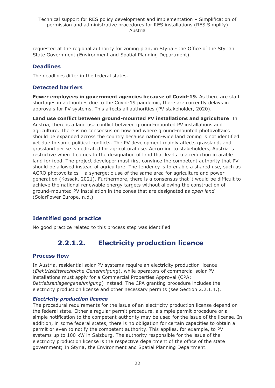requested at the regional authority for zoning plan, in Styria - the Office of the Styrian State Government (Environment and Spatial Planning Department).

## **Deadlines**

The deadlines differ in the federal states.

### **Detected barriers**

**Fewer employees in government agencies because of Covid-19.** As there are staff shortages in authorities due to the Covid-19 pandemic, there are currently delays in approvals for PV systems. This affects all authorities (PV stakeholder, 2020).

**Land use conflict between ground-mounted PV installations and agriculture**. In Austria, there is a land use conflict between ground-mounted PV installations and agriculture. There is no consensus on how and where ground-mounted photovoltaics should be expanded across the country because nation-wide land zoning is not identified yet due to some political conflicts. The PV development mainly affects grassland, and grassland per se is dedicated for agricultural use. According to stakeholders, Austria is restrictive when it comes to the designation of land that leads to a reduction in arable land for food. The project developer must first convince the competent authority that PV should be allowed instead of agriculture. The tendency is to enable a shared use, such as AGRO photovoltaics – a synergetic use of the same area for agriculture and power generation (Kossak, 2021). Furthermore, there is a consensus that it would be difficult to achieve the national renewable energy targets without allowing the construction of ground-mounted PV installation in the zones that are designated as *open land* (SolarPower Europe, n.d.).

## **Identified good practice**

<span id="page-21-0"></span>No good practice related to this process step was identified.

## **2.2.1.2. Electricity production licence**

### **Process flow**

In Austria, residential solar PV systems require an electricity production licence (*Elektrizitätsrechtliche Genehmigung*), while operators of commercial solar PV installations must apply for a Commercial Properties Approval (CPA; *Betriebsanlagengenehmigung*) instead. The CPA granting procedure includes the electricity production license and other necessary permits (see Section 2.2.1.4.).

#### *Electricity production licence*

The procedural requirements for the issue of an electricity production license depend on the federal state. Either a regular permit procedure, a simple permit procedure or a simple notification to the competent authority may be used for the issue of the license. In addition, in some federal states, there is no obligation for certain capacities to obtain a permit or even to notify the competent authority. This applies, for example, to PV systems up to 100 kW in Salzburg. The authority responsible for the issue of the electricity production license is the respective department of the office of the state government; In Styria, the Environment and Spatial Planning Department.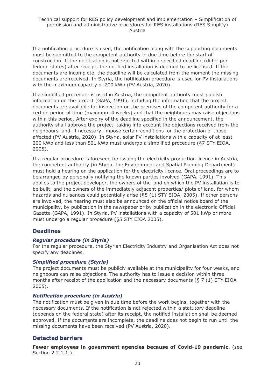If a notification procedure is used, the notification along with the supporting documents must be submitted to the competent authority in due time before the start of construction. If the notification is not rejected within a specified deadline (differ per federal states) after receipt, the notified installation is deemed to be licensed. If the documents are incomplete, the deadline will be calculated from the moment the missing documents are received. In Styria, the notification procedure is used for PV installations with the maximum capacity of 200 kWp (PV Austria, 2020).

If a simplified procedure is used in Austria, the competent authority must publish information on the project (GAPA, 1991), including the information that the project documents are available for inspection on the premises of the competent authority for a certain period of time (maximum 4 weeks) and that the neighbours may raise objections within this period. After expiry of the deadline specified in the announcement, the authority shall approve the project, taking into account the objections received from the neighbours, and, if necessary, impose certain conditions for the protection of those affected (PV Austria, 2020). In Styria, solar PV installations with a capacity of at least 200 kWp and less than 501 kWp must undergo a simplified procedure (§7 STY EIOA, 2005).

If a regular procedure is foreseen for issuing the electricity production licence in Austria, the competent authority (in Styria, the Environment and Spatial Planning Department) must hold a hearing on the application for the electricity licence. Oral proceedings are to be arranged by personally notifying the known parties involved (GAPA, 1991). This applies to the project developer, the owners of the land on which the PV installation is to be built, and the owners of the immediately adjacent properties/ plots of land, for whom hazards and nuisances could potentially arise (§5 (1) STY EIOA, 2005). If other persons are involved, the hearing must also be announced on the official notice board of the municipality, by publication in the newspaper or by publication in the electronic Official Gazette (GAPA, 1991). In Styria, PV installations with a capacity of 501 kWp or more must undergo a regular procedure (§5 STY EIOA 2005).

### **Deadlines**

### *Regular procedure (in Styria)*

For the regular procedure, the Styrian Electricity Industry and Organisation Act does not specify any deadlines.

#### *Simplified procedure (Styria)*

The project documents must be publicly available at the municipality for four weeks, and neighbours can raise objections. The authority has to issue a decision within three months after receipt of the application and the necessary documents (§ 7 (1) STY EIOA 2005).

#### *Notification procedure (in Austria)*

The notification must be given in due time before the work begins, together with the necessary documents. If the notification is not rejected within a statutory deadline (depends on the federal state) after its receipt, the notified installation shall be deemed approved. If the documents are incomplete, the deadline does not begin to run until the missing documents have been received (PV Austria, 2020).

### **Detected barriers**

**Fewer employees in government agencies because of Covid-19 pandemic.** (see Section 2.2.1.1.).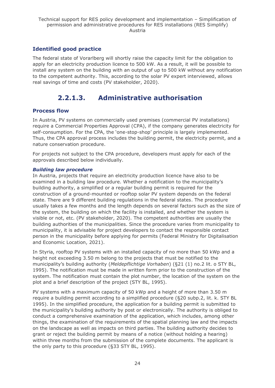## **Identified good practice**

The federal state of Vorarlberg will shortly raise the capacity limit for the obligation to apply for an electricity production licence to 500 kW. As a result, it will be possible to install any system on the building with an output of up to 500 kW without any notification to the competent authority. This, according to the solar PV expert interviewed, allows real savings of time and costs (PV stakeholder, 2020).

## **2.2.1.3. Administrative authorisation**

### <span id="page-23-0"></span>**Process flow**

In Austria, PV systems on commercially used premises (commercial PV installations) require a Commercial Properties Approval (CPA), if the company generates electricity for self-consumption. For the CPA, the 'one-stop-shop' principle is largely implemented. Thus, the CPA approval process includes the building permit, the electricity permit, and a nature conservation procedure.

For projects not subject to the CPA procedure, developers must apply for each of the approvals described below individually.

#### *Building law procedure*

In Austria, projects that require an electricity production licence have also to be examined in a building law procedure. Whether a notification to the municipality's building authority, a simplified or a regular building permit is required for the construction of a ground-mounted or rooftop solar PV system depends on the federal state. There are 9 different building regulations in the federal states. The procedure usually takes a few months and the length depends on several factors such as the size of the system, the building on which the facility is installed, and whether the system is visible or not, etc. (PV stakeholder, 2020). The competent authorities are usually the building authorities of the municipalities. Since the procedure varies from municipality to municipality, it is advisable for project developers to contact the responsible contact person in the municipality before applying for permits (Federal Ministry for Digitalisation and Economic Location, 2021).

In Styria, rooftop PV systems with an installed capacity of no more than 50 kWp and a height not exceeding 3.50 m belong to the projects that must be notified to the municipality's building authority (*Meldepflichtige Vorhaben*) (§21 (1) no.2 lit. o STY BL, 1995). The notification must be made in written form prior to the construction of the system. The notification must contain the plot number, the location of the system on the plot and a brief description of the project (STY BL, 1995).

PV systems with a maximum capacity of 50 kWp and a height of more than 3.50 m require a building permit according to a simplified procedure (§20 subp.2, lit. k. STY BL 1995). In the simplified procedure, the application for a building permit is submitted to the municipality's building authority by post or electronically. The authority is obliged to conduct a comprehensive examination of the application, which includes, among other things, the examination of the requirements of the spatial planning law and the impacts on the landscape as well as impacts on third parties. The building authority decides to grant or reject the building permit by means of a notice (without holding a hearing) within three months from the submission of the complete documents. The applicant is the only party to this procedure (§33 STY BL, 1995).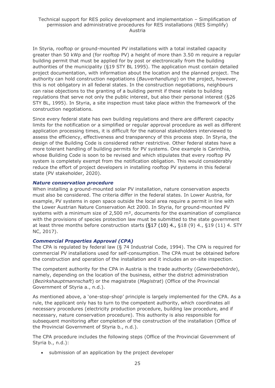In Styria, rooftop or ground-mounted PV installations with a total installed capacity greater than 50 kWp and (for rooftop PV) a height of more than 3.50 m require a regular building permit that must be applied for by post or electronically from the building authorities of the municipality (§19 STY BL 1995). The application must contain detailed project documentation, with information about the location and the planned project. The authority can hold construction negotiations (*Bauverhandlung*) on the project, however, this is not obligatory in all federal states. In the construction negotiations, neighbours can raise objections to the granting of a building permit if these relate to building regulations that serve not only the public interest, but also their personal interest (§26 STY BL, 1995). In Styria, a site inspection must take place within the framework of the construction negotiations.

Since every federal state has own building regulations and there are different capacity limits for the notification or a simplified or regular approval procedure as well as different application processing times, it is difficult for the national stakeholders interviewed to assess the efficiency, effectiveness and transparency of this process step. In Styria, the design of the Building Code is considered rather restrictive. Other federal states have a more tolerant handling of building permits for PV systems. One example is Carinthia, whose Building Code is soon to be revised and which stipulates that every rooftop PV system is completely exempt from the notification obligation. This would considerably reduce the effort of project developers in installing rooftop PV systems in this federal state (PV stakeholder, 2020).

#### *Nature conservation procedure*

When installing a ground-mounted solar PV installation, nature conservation aspects must also be considered. The criteria differ in the federal states. In Lower Austria, for example, PV systems in open space outside the local area require a permit in line with the Lower Austrian Nature Conservation Act 2000. In Styria, for ground-mounted PV systems with a minimum size of 2,500 m<sup>2</sup>, documents for the examination of compliance with the provisions of species protection law must be submitted to the state government at least three months before construction starts (§17 (10) 4., §18 (9) 4., §19 (11) 4. STY NC, 2017).

#### *Commercial Properties Approval (CPA)*

The CPA is regulated by federal law (§ 74 Industrial Code, 1994). The CPA is required for commercial PV installations used for self-consumption. The CPA must be obtained before the construction and operation of the installation and it includes an on-site inspection.

The competent authority for the CPA in Austria is the trade authority (*Gewerbebehörde*), namely, depending on the location of the business, either the district administration (*Bezirkshauptmannschaft*) or the magistrate (*Magistrat*) (Office of the Provincial Government of Styria a., n.d.).

As mentioned above, a 'one-stop-shop' principle is largely implemented for the CPA. As a rule, the applicant only has to turn to the competent authority, which coordinates all necessary procedures (electricity production procedure, building law procedure, and if necessary, nature conservation procedure). This authority is also responsible for subsequent monitoring after completion of the construction of the installation (Office of the Provincial Government of Styria b., n.d.).

The CPA procedure includes the following steps (Office of the Provincial Government of Styria b., n.d.):

• submission of an application by the project developer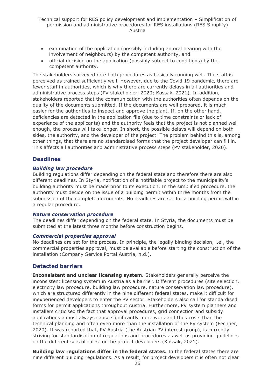- examination of the application (possibly including an oral hearing with the involvement of neighbours) by the competent authority, and
- official decision on the application (possibly subject to conditions) by the competent authority.

The stakeholders surveyed rate both procedures as basically running well. The staff is perceived as trained sufficiently well. However, due to the Covid 19 pandemic, there are fewer staff in authorities, which is why there are currently delays in all authorities and administrative process steps (PV stakeholder, 2020; Kossak, 2021). In addition, stakeholders reported that the communication with the authorities often depends on the quality of the documents submitted. If the documents are well prepared, it is much easier for the authorities to inspect and approve the plant. If, on the other hand, deficiencies are detected in the application file (due to time constraints or lack of experience of the applicants) and the authority feels that the project is not planned well enough, the process will take longer. In short, the possible delays will depend on both sides, the authority, and the developer of the project. The problem behind this is, among other things, that there are no standardised forms that the project developer can fill in. This affects all authorities and administrative process steps (PV stakeholder, 2020).

### **Deadlines**

#### *Building law procedure*

Building regulations differ depending on the federal state and therefore there are also different deadlines. In Styria, notification of a notifiable project to the municipality's building authority must be made prior to its execution. In the simplified procedure, the authority must decide on the issue of a building permit within three months from the submission of the complete documents. No deadlines are set for a building permit within a regular procedure.

#### *Nature conservation procedure*

The deadlines differ depending on the federal state. In Styria, the documents must be submitted at the latest three months before construction begins.

#### *Commercial properties approval*

No deadlines are set for the process. In principle, the legally binding decision, i.e., the commercial properties approval, must be available before starting the construction of the installation (Company Service Portal Austria, n.d.).

### **Detected barriers**

**Inconsistent and unclear licensing system.** Stakeholders generally perceive the inconsistent licensing system in Austria as a barrier. Different procedures (site selection, electricity law procedure, building law procedure, nature conservation law procedure), which are structured differently in the nine different federal states, make it difficult for inexperienced developers to enter the PV sector. Stakeholders also call for standardised forms for permit applications throughout Austria. Furthermore, PV system planners and installers criticised the fact that approval procedures, grid connection and subsidy applications almost always cause significantly more work and thus costs than the technical planning and often even more than the installation of the PV system (Fechner, 2020). It was reported that, PV Austria (the Austrian PV interest group), is currently striving for standardisation of regulations and procedures as well as providing guidelines on the different sets of rules for the project developers (Kossak, 2021).

**Building law regulations differ in the federal states.** In the federal states there are nine different building regulations. As a result, for project developers it is often not clear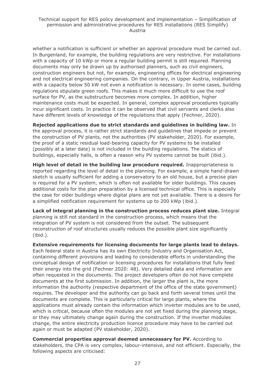whether a notification is sufficient or whether an approval procedure must be carried out. In Burgenland, for example, the building regulations are very restrictive. For installations with a capacity of 10 kWp or more a regular building permit is still required. Planning documents may only be drawn up by authorised planners, such as civil engineers, construction engineers but not, for example, engineering offices for electrical engineering and not electrical engineering companies. On the contrary, in Upper Austria, installations with a capacity below 50 kW not even a notification is necessary. In some cases, building regulations stipulate green roofs. This makes it much more difficult to use the roof surface for PV, as the substructure becomes more complex. In addition, higher maintenance costs must be expected. In general, complex approval procedures typically incur significant costs. In practice it can be observed that civil servants and clerks also have different levels of knowledge of the regulations that apply (Fechner, 2020).

**Rejected applications due to strict standards and guidelines in building law.** In the approval process, it is rather strict standards and guidelines that impede or prevent the construction of PV plants, not the authorities (PV stakeholder, 2020). For example, the proof of a static residual load-bearing capacity for PV systems to be installed (possibly at a later date) is not included in the building regulations. The statics of buildings, especially halls, is often a reason why PV systems cannot be built (ibid.).

**High level of detail in the building law procedure required.** Inappropriateness is reported regarding the level of detail in the planning. For example, a simple hand-drawn sketch is usually sufficient for adding a conservatory to an old house, but a precise plan is required for a PV system, which is often not available for older buildings. This causes additional costs for the plan preparation by a licensed technical office. This is especially the case for older buildings where digital plans are not yet available. There is a desire for a simplified notification requirement for systems up to 200 kWp (ibid.).

**Lack of integral planning in the construction process reduces plant size.** Integral planning is still not standard in the construction process, which means that the integration of PV system is not considered from the outset. The subsequent reconstruction of roof structures usually reduces the possible plant size significantly (ibid.).

**Extensive requirements for licensing documents for large plants lead to delays.**  Each federal state in Austria has its own Electricity Industry and Organisation Act, containing different provisions and leading to considerable efforts in understanding the conceptual design of notification or licensing procedures for installations that fully feed their energy into the grid (Fechner 2020: 48). Very detailed data and information are often requested in the documents. The project developers often do not have complete documents at the first submission. In addition, the larger the plant is, the more information the authority (respective department of the office of the state government) requires. The developer and the authority can go back and forth several times until the documents are complete. This is particularly critical for large plants, where the applications must already contain the information which inverter modules are to be used, which is critical, because often the modules are not yet fixed during the planning stage, or they may ultimately change again during the construction. If the inverter modules change, the entire electricity production licence procedure may have to be carried out again or must be adapted (PV stakeholder, 2020).

**Commercial properties approval deemed unnecessary for PV.** According to stakeholders, the CPA is very complex, labour-intensive, and not efficient. Especially, the following aspects are criticised: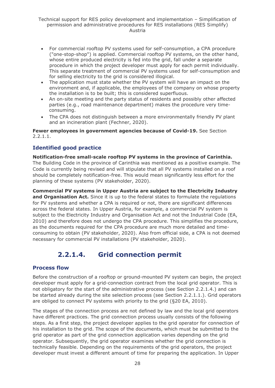#### Technical support for RES policy development and implementation – Simplification of permission and administrative procedures for RES installations (RES Simplify) Austria

- For commercial rooftop PV systems used for self-consumption, a CPA procedure ("one-stop-shop") is applied. Commercial rooftop PV systems, on the other hand, whose entire produced electricity is fed into the grid, fall under a separate procedure in which the project developer must apply for each permit individually. This separate treatment of commercial PV systems used for self-consumption and for selling electricity to the grid is considered illogical.
- The application must state whether the PV system will have an impact on the environment and, if applicable, the employees of the company on whose property the installation is to be built; this is considered superfluous.
- An on-site meeting and the party status of residents and possibly other affected parties (e.g., road maintenance department) makes the procedure very timeconsuming.
- The CPA does not distinguish between a more environmentally friendly PV plant and an incineration plant (Fechner, 2020).

#### **Fewer employees in government agencies because of Covid-19.** See Section 2.2.1.1.

### **Identified good practice**

## **Notification-free small-scale rooftop PV systems in the province of Carinthia.**

The Building Code in the province of Carinthia was mentioned as a positive example. The Code is currently being revised and will stipulate that all PV systems installed on a roof should be completely notification-free. This would mean significantly less effort for the planning of these systems (PV stakeholder, 2020).

**Commercial PV systems in Upper Austria are subject to the Electricity Industry**  and Organisation Act. Since it is up to the federal states to formulate the regulations for PV systems and whether a CPA is required or not, there are significant differences across the federal states. In Upper Austria, for example, a commercial PV system is subject to the Electricity Industry and Organisation Act and not the Industrial Code (EA, 2010) and therefore does not undergo the CPA procedure. This simplifies the procedure, as the documents required for the CPA procedure are much more detailed and timeconsuming to obtain (PV stakeholder, 2020). Also from official side, a CPA is not deemed necessary for commercial PV installations (PV stakeholder, 2020).

## **2.2.1.4. Grid connection permit**

#### <span id="page-27-0"></span>**Process flow**

Before the construction of a rooftop or ground-mounted PV system can begin, the project developer must apply for a grid-connection contract from the local grid operator. This is not obligatory for the start of the administrative process (see Section 2.2.1.4.) and can be started already during the site selection process (see Section 2.2.1.1.). Grid operators are obliged to connect PV systems with priority to the grid (§20 EA, 2010).

The stages of the connection process are not defined by law and the local grid operators have different practices. The grid connection process usually consists of the following steps. As a first step, the project developer applies to the grid operator for connection of his installation to the grid. The scope of the documents, which must be submitted to the grid operator as part of the grid connection application varies depending on the grid operator. Subsequently, the grid operator examines whether the grid connection is technically feasible. Depending on the requirements of the grid operators, the project developer must invest a different amount of time for preparing the application. In Upper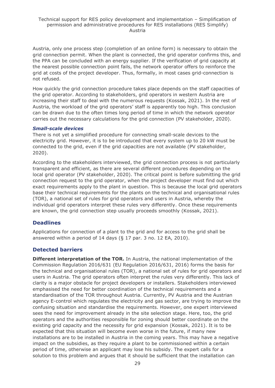Austria, only one process step (completion of an online form) is necessary to obtain the grid connection permit. When the plant is connected, the grid operator confirms this, and the PPA can be concluded with an energy supplier. If the verification of grid capacity at the nearest possible connection point fails, the network operator offers to reinforce the grid at costs of the project developer. Thus, formally, in most cases grid-connection is not refused.

How quickly the grid connection procedure takes place depends on the staff capacities of the grid operator. According to stakeholders, grid operators in western Austria are increasing their staff to deal with the numerous requests (Kossak, 2021). In the rest of Austria, the workload of the grid operators' staff is apparently too high. This conclusion can be drawn due to the often times long period of time in which the network operator carries out the necessary calculations for the grid connection (PV stakeholder, 2020).

#### *Small-scale devices*

There is not yet a simplified procedure for connecting small-scale devices to the electricity grid. However, it is to be introduced that every system up to 20 kW must be connected to the grid, even if the grid capacities are not available (PV stakeholder, 2020).

According to the stakeholders interviewed, the grid connection process is not particularly transparent and efficient, as there are several different procedures depending on the local grid operator (PV stakeholder, 2020). The critical point is before submitting the grid connection request to the grid operator, when the project developer must find out which exact requirements apply to the plant in question. This is because the local grid operators base their technical requirements for the plants on the technical and organisational rules (TOR), a national set of rules for grid operators and users in Austria, whereby the individual grid operators interpret these rules very differently. Once these requirements are known, the grid connection step usually proceeds smoothly (Kossak, 2021).

### **Deadlines**

Applications for connection of a plant to the grid and for access to the grid shall be answered within a period of 14 days (§ 17 par. 3 no. 12 EA, 2010).

### **Detected barriers**

**Different interpretation of the TOR.** In Austria, the national implementation of the Commission Regulation 2016/631 (EU Regulation 2016/631, 2016) forms the basis for the technical and organisational rules (TOR), a national set of rules for grid operators and users in Austria. The grid operators often interpret the rules very differently. This lack of clarity is a major obstacle for project developers or installers. Stakeholders interviewed emphasised the need for better coordination of the technical requirements and a standardisation of the TOR throughout Austria. Currently, PV Austria and the Austrian agency E-control which regulates the electricity and gas sector, are trying to improve the confusing situation and standardise the requirements. However, one expert interviewed sees the need for improvement already in the site selection stage. Here, too, the grid operators and the authorities responsible for zoning should better coordinate on the existing grid capacity and the necessity for grid expansion (Kossak, 2021). It is to be expected that this situation will become even worse in the future, if many new installations are to be installed in Austria in the coming years. This may have a negative impact on the subsidies, as they require a plant to be commissioned within a certain period of time, otherwise an applicant may lose his subsidy. The expert calls for a solution to this problem and argues that it should be sufficient that the installation can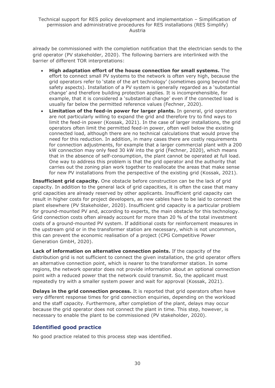already be commissioned with the completion notification that the electrician sends to the grid operator (PV stakeholder, 2020). The following barriers are interlinked with the barrier of different TOR interpretations:

- **High adaptation effort of the house connection for small systems.** The effort to connect small PV systems to the network is often very high, because the grid operators refer to 'state of the art technology' (sometimes going beyond the safety aspects). Installation of a PV system is generally regarded as a 'substantial change' and therefore building protection applies. It is incomprehensible, for example, that it is considered a 'substantial change' even if the connected load is usually far below the permitted reference values (Fechner, 2020).
- **Limitation of the feed-in power for larger plants.** In general, grid operators are not particularly willing to expand the grid and therefore try to find ways to limit the feed-in power (Kossak, 2021). In the case of larger installations, the grid operators often limit the permitted feed-in power, often well below the existing connected load, although there are no technical calculations that would prove the need for this reduction. In addition, in many cases there are costly requirements for connection adjustments, for example that a larger commercial plant with a 200 kW connection may only feed 30 kW into the grid (Fechner, 2020), which means that in the absence of self-consumption, the plant cannot be operated at full load. One way to address this problem is that the grid operator and the authority that carries out the zoning plan work together to reallocate the areas that make sense for new PV installations from the perspective of the existing grid (Kossak, 2021).

**Insufficient grid capacity.** One obstacle before construction can be the lack of grid capacity. In addition to the general lack of grid capacities, it is often the case that many grid capacities are already reserved by other applicants. Insufficient grid capacity can result in higher costs for project developers, as new cables have to be laid to connect the plant elsewhere (PV Stakeholder, 2020). Insufficient grid capacity is a particular problem for ground-mounted PV and, according to experts, the main obstacle for this technology. Grid connection costs often already account for more than 20 % of the total investment costs of a ground-mounted PV system. If additional costs for reinforcement measures in the upstream grid or in the transformer station are necessary, which is not uncommon, this can prevent the economic realisation of a project (CPG Competitive Power Generation GmbH, 2020).

**Lack of information on alternative connection points.** If the capacity of the distribution grid is not sufficient to connect the given installation, the grid operator offers an alternative connection point, which is nearer to the transformer station. In some regions, the network operator does not provide information about an optional connection point with a reduced power that the network could transmit. So, the applicant must repeatedly try with a smaller system power and wait for approval (Kossak, 2021).

**Delays in the grid connection process.** It is reported that grid operators often have very different response times for grid connection enquiries, depending on the workload and the staff capacity. Furthermore, after completion of the plant, delays may occur because the grid operator does not connect the plant in time. This step, however, is necessary to enable the plant to be commissioned (PV stakeholder, 2020).

### **Identified good practice**

No good practice related to this process step was identified.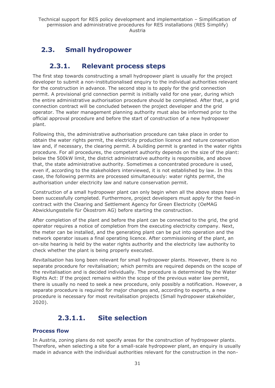## <span id="page-30-1"></span><span id="page-30-0"></span>**2.3. Small hydropower**

## **2.3.1. Relevant process steps**

The first step towards constructing a small hydropower plant is usually for the project developer to submit a non-institutionalised enquiry to the individual authorities relevant for the construction in advance. The second step is to apply for the grid connection permit. A provisional grid connection permit is initially valid for one year, during which the entire administrative authorisation procedure should be completed. After that, a grid connection contract will be concluded between the project developer and the grid operator. The water management planning authority must also be informed prior to the official approval procedure and before the start of construction of a new hydropower plant.

Following this, the administrative authorisation procedure can take place in order to obtain the water rights permit, the electricity production licence and nature conservation law and, if necessary, the clearing permit. A building permit is granted in the water rights procedure. For all procedures, the competent authority depends on the size of the plant: below the 500kW limit, the district administrative authority is responsible, and above that, the state administrative authority. Sometimes a concentrated procedure is used, even if, according to the stakeholders interviewed, it is not established by law. In this case, the following permits are processed simultaneously: water rights permit, the authorisation under electricity law and nature conservation permit.

Construction of a small hydropower plant can only begin when all the above steps have been successfully completed. Furthermore, project developers must apply for the feed-in contract with the Clearing and Settlement Agency for Green Electricity (OeMAG Abwicklungsstelle für Ökostrom AG) before starting the construction.

After completion of the plant and before the plant can be connected to the grid, the grid operator requires a notice of completion from the executing electricity company. Next, the meter can be installed, and the generating plant can be put into operation and the network operator issues a final operating licence. After commissioning of the plant, an on-site hearing is held by the water rights authority and the electricity law authority to check whether the plant is being properly executed.

*Revitalisation* has long been relevant for small hydropower plants. However, there is no separate procedure for revitalisation; which permits are required depends on the scope of the revitalisation and is decided individually. The procedure is determined by the Water Rights Act: If the project remains within the scope of the previous water law permit, there is usually no need to seek a new procedure, only possibly a notification. However, a separate procedure is required for major changes and, according to experts, a new procedure is necessary for most revitalisation projects (Small hydropower stakeholder, 2020).

## **2.3.1.1. Site selection**

## <span id="page-30-2"></span>**Process flow**

In Austria, zoning plans do not specify areas for the construction of hydropower plants. Therefore, when selecting a site for a small-scale hydropower plant, an enquiry is usually made in advance with the individual authorities relevant for the construction in the non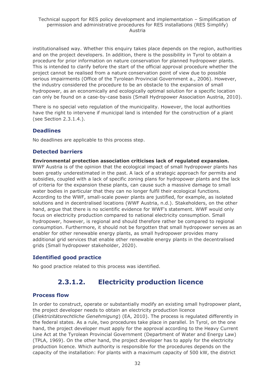institutionalised way. Whether this enquiry takes place depends on the region, authorities and on the project developers. In addition, there is the possibility in Tyrol to obtain a procedure for prior information on nature conservation for planned hydropower plants. This is intended to clarify before the start of the official approval procedure whether the project cannot be realised from a nature conservation point of view due to possible serious impairments (Office of the Tyrolean Provincial Government a., 2006). However, the industry considered the procedure to be an obstacle to the expansion of small hydropower, as an economically and ecologically optimal solution for a specific location can only be found on a case-by-case basis (Small Hydropower Association Austria, 2010).

There is no special veto regulation of the municipality. However, the local authorities have the right to intervene if municipal land is intended for the construction of a plant (see Section 2.3.1.4.).

## **Deadlines**

No deadlines are applicable to this process step.

## **Detected barriers**

**Environmental protection association criticises lack of regulated expansion.** WWF Austria is of the opinion that the ecological impact of small hydropower plants has been greatly underestimated in the past. A lack of a strategic approach for permits and subsidies, coupled with a lack of specific zoning plans for hydropower plants and the lack of criteria for the expansion these plants, can cause such a massive damage to small water bodies in particular that they can no longer fulfil their ecological functions. According to the WWF, small-scale power plants are justified, for example, as isolated solutions and in decentralised locations (WWF Austria, n.d.). Stakeholders, on the other hand, argue that there is no scientific evidence for WWF's statement. WWF would only focus on electricity production compared to national electricity consumption. Small hydropower, however, is regional and should therefore rather be compared to regional consumption. Furthermore, it should not be forgotten that small hydropower serves as an enabler for other renewable energy plants, as small hydropower provides many additional grid services that enable other renewable energy plants in the decentralised grids (Small hydropower stakeholder, 2020).

## **Identified good practice**

<span id="page-31-0"></span>No good practice related to this process was identified.

## **2.3.1.2. Electricity production licence**

### **Process flow**

In order to construct, operate or substantially modify an existing small hydropower plant, the project developer needs to obtain an electricity production licence

(*Elektrizitätsrechtliche Genehmigung*) (EA, 2010). The process is regulated differently in the federal states. As a rule, two procedures take place in parallel. In Tyrol, on the one hand, the project developer must apply for the approval according to the Heavy Current Line Act at the Tyrolean Provincial Government (Department of Water and Energy Law) (TPLA, 1969). On the other hand, the project developer has to apply for the electricity production licence. Which authority is responsible for the procedures depends on the capacity of the installation: For plants with a maximum capacity of 500 kW, the district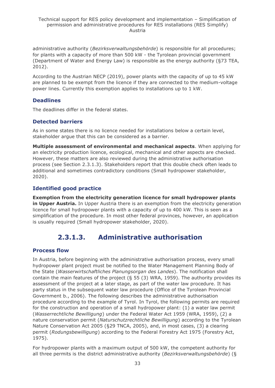administrative authority (*Bezirksverwaltungsbehörde*) is responsible for all procedures; for plants with a capacity of more than 500 kW - the Tyrolean provincial government (Department of Water and Energy Law) is responsible as the energy authority (§73 TEA, 2012).

According to the Austrian NECP (2019), power plants with the capacity of up to 45 kW are planned to be exempt from the licence if they are connected to the medium-voltage power lines. Currently this exemption applies to installations up to 1 kW.

## **Deadlines**

The deadlines differ in the federal states.

### **Detected barriers**

As in some states there is no licence needed for installations below a certain level, stakeholder argue that this can be considered as a barrier.

**Multiple assessment of environmental and mechanical aspects**. When applying for an electricity production licence, ecological, mechanical and other aspects are checked. However, these matters are also reviewed during the administrative authorisation process (see Section 2.3.1.3). Stakeholders report that this double check often leads to additional and sometimes contradictory conditions (Small hydropower stakeholder, 2020).

### **Identified good practice**

**Exemption from the electricity generation licence for small hydropower plants in Upper Austria.** In Upper Austria there is an exemption from the electricity generation licence for small hydropower plants with a capacity of up to 400 kW. This is seen as a simplification of the procedure. In most other federal provinces, however, an application is usually required (Small hydropower stakeholder, 2020).

## **2.3.1.3. Administrative authorisation**

### <span id="page-32-0"></span>**Process flow**

In Austria, before beginning with the administrative authorisation process, every small hydropower plant project must be notified to the Water Management Planning Body of the State (*Wasserwirtschaftliches Planungsorgan des Landes*). The notification shall contain the main features of the project (§ 55 (3) WRA, 1959). The authority provides its assessment of the project at a later stage, as part of the water law procedure. It has party status in the subsequent water law procedure (Office of the Tyrolean Provincial Government b., 2006). The following describes the administrative authorisation procedure according to the example of Tyrol. In Tyrol, the following permits are required for the construction and operation of a small hydropower plant: (1) a water law permit (*Wasserrechtliche Bewilligung*) under the Federal Water Act 1959 (WRA, 1959), (2) a nature conservation permit (*Naturschutzrechtliche Bewilligung*) according to the Tyrolean Nature Conservation Act 2005 (§29 TNCA, 2005), and, in most cases, (3) a clearing permit (*Rodungsbewilligung*) according to the Federal Forestry Act 1975 (Forestry Act, 1975).

For hydropower plants with a maximum output of 500 kW, the competent authority for all three permits is the district administrative authority (*Bezirksverwaltungsbehörde*) (§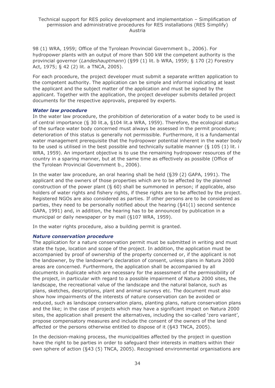98 (1) WRA, 1959; Office of the Tyrolean Provincial Government b., 2006). For hydropower plants with an output of more than 500 kW the competent authority is the provincial governor (*Landeshauptmann*) (§99 (1) lit. b WRA, 1959; § 170 (2) Forestry Act, 1975; § 42 (2) lit. a TNCA, 2005).

For each procedure, the project developer must submit a separate written application to the competent authority. The application can be simple and informal indicating at least the applicant and the subject matter of the application and must be signed by the applicant. Together with the application, the project developer submits detailed project documents for the respective approvals, prepared by experts.

#### *Water law procedure*

In the water law procedure, the prohibition of deterioration of a water body to be used is of central importance (§ 30 lit.a, §104 lit.a WRA, 1959). Therefore, the ecological status of the surface water body concerned must always be assessed in the permit procedure; deterioration of this status is generally not permissible. Furthermore, it is a fundamental water management prerequisite that the hydropower potential inherent in the water body to be used is utilised in the best possible and technically suitable manner (§ 105 (1) lit. i WRA, 1959). An important objective is to use the remaining hydropower resources of the country in a sparing manner, but at the same time as effectively as possible (Office of the Tyrolean Provincial Government b., 2006).

In the water law procedure, an oral hearing shall be held (§39 (2) GAPA, 1991). The applicant and the owners of those properties which are to be affected by the planned construction of the power plant (§ 60) shall be summoned in person; if applicable, also holders of water rights and fishery rights, if these rights are to be affected by the project. Registered NGOs are also considered as parties. If other persons are to be considered as parties, they need to be personally notified about the hearing (§41(1) second sentence GAPA, 1991) and, in addition, the hearing has to be announced by publication in a municipal or daily newspaper or by mail (§107 WRA, 1959).

In the water rights procedure, also a building permit is granted.

#### *Nature conservation procedure*

The application for a nature conservation permit must be submitted in writing and must state the type, location and scope of the project. In addition, the application must be accompanied by proof of ownership of the property concerned or, if the applicant is not the landowner, by the landowner's declaration of consent, unless plans in Natura 2000 areas are concerned. Furthermore, the application shall be accompanied by all documents in duplicate which are necessary for the assessment of the permissibility of the project, in particular with regard to a possible impairment of Natura 2000 sites, the landscape, the recreational value of the landscape and the natural balance, such as plans, sketches, descriptions, plant and animal surveys etc. The document must also show how impairments of the interests of nature conservation can be avoided or reduced, such as landscape conservation plans, planting plans, nature conservation plans and the like; in the case of projects which may have a significant impact on Natura 2000 sites, the application shall present the alternatives, including the so-called 'zero variant', propose compensatory measures and include the consent of the owners of the land affected or the persons otherwise entitled to dispose of it (§43 TNCA, 2005).

In the decision-making process, the municipalities affected by the project in question have the right to be parties in order to safeguard their interests in matters within their own sphere of action (§43 (5) TNCA, 2005). Recognised environmental organisations are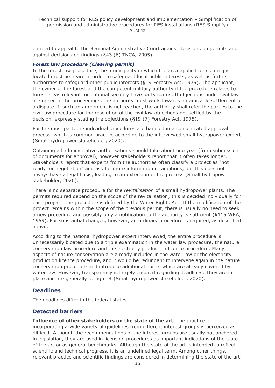entitled to appeal to the Regional Administrative Court against decisions on permits and against decisions on findings (§43 (6) TNCA, 2005).

#### *Forest law procedure (Clearing permit)*

In the forest law procedure, the municipality in which the area applied for clearing is located must be heard in order to safeguard local public interests, as well as further authorities to safeguard other public interests (§19 Forestry Act, 1975). The applicant, the owner of the forest and the competent military authority if the procedure relates to forest areas relevant for national security have party status. If objections under civil law are raised in the proceedings, the authority must work towards an amicable settlement of a dispute. If such an agreement is not reached, the authority shall refer the parties to the civil law procedure for the resolution of the civil law objections not settled by the decision, expressly stating the objections (§19 (7) Forestry Act, 1975).

For the most part, the individual procedures are handled in a concentrated approval process, which is common practice according to the interviewed small hydropower expert (Small hydropower stakeholder, 2020).

Obtaining all administrative authorisations should take about one year (from submission of documents for approval), however stakeholders report that it often takes longer. Stakeholders report that experts from the authorities often classify a project as "not ready for negotiation" and ask for more information or additions, but this does not always have a legal basis, leading to an extension of the process (Small hydropower stakeholder, 2020).

There is no separate procedure for the *revitalisation* of a small hydropower plants. The permits required depend on the scope of the revitalisation; this is decided individually for each project. The procedure is defined by the Water Rights Act: If the modification of the project remains within the scope of the previous permit, there is usually no need to seek a new procedure and possibly only a notification to the authority is sufficient (§115 WRA, 1959). For substantial changes, however, an ordinary procedure is required, as described above.

According to the national hydropower expert interviewed, the entire procedure is unnecessarily bloated due to a triple examination in the water law procedure, the nature conservation law procedure and the electricity production licence procedure. Many aspects of nature conservation are already included in the water law or the electricity production licence procedure, and it would be redundant to intervene again in the nature conservation procedure and introduce additional points which are already covered by water law. However, transparency is largely ensured regarding deadlines: They are in place and are generally being met (Small hydropower stakeholder, 2020).

### **Deadlines**

The deadlines differ in the federal states.

### **Detected barriers**

**Influence of other stakeholders on the state of the art.** The practice of incorporating a wide variety of guidelines from different interest groups is perceived as difficult. Although the recommendations of the interest groups are usually not anchored in legislation, they are used in licensing procedures as important indications of the state of the art or as general benchmarks. Although the state of the art is intended to reflect scientific and technical progress, it is an undefined legal term. Among other things, relevant practice and scientific findings are considered in determining the state of the art.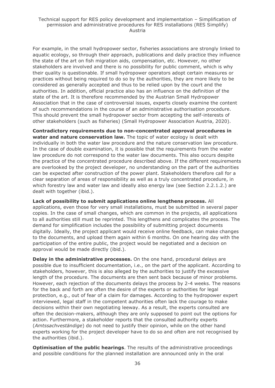For example, in the small hydropower sector, fisheries associations are strongly linked to aquatic ecology, so through their approach, publications and daily practice they influence the state of the art on fish migration aids, compensation, etc. However, no other stakeholders are involved and there is no possibility for public comment, which is why their quality is questionable. If small hydropower operators adopt certain measures or practices without being required to do so by the authorities, they are more likely to be considered as generally accepted and thus to be relied upon by the court and the authorities. In addition, official practice also has an influence on the definition of the state of the art. It is therefore recommended by the Austrian Small Hydropower Association that in the case of controversial issues, experts closely examine the content of such recommendations in the course of an administrative authorisation procedure. This should prevent the small hydropower sector from accepting the self-interests of other stakeholders (such as fisheries) (Small Hydropower Association Austria, 2020).

**Contradictory requirements due to non-concentrated approval procedures in water and nature conservation law.** The topic of water ecology is dealt with individually in both the water law procedure and the nature conservation law procedure. In the case of double examination, it is possible that the requirements from the water law procedure do not correspond to the water law documents. This also occurs despite the practice of the concentrated procedure described above. If the different requirements are overlooked by the project developer, no understanding on the part of the authorities can be expected after construction of the power plant. Stakeholders therefore call for a clear separation of areas of responsibility as well as a truly concentrated procedure, in which forestry law and water law and ideally also energy law (see Section 2.2.1.2.) are dealt with together (ibid.).

**Lack of possibility to submit applications online lengthens process.** All applications, even those for very small installations, must be submitted in several paper copies. In the case of small changes, which are common in the projects, all applications to all authorities still must be reprinted. This lengthens and complicates the process. The demand for simplification includes the possibility of submitting project documents digitally. Ideally, the project applicant would receive online feedback, can make changes to the documents, and upload them again within 6 months. On one hearing day with the participation of the entire public, the project would be negotiated and a decision on approval would be made directly (ibid.).

**Delay in the administrative processes.** On the one hand, procedural delays are possible due to insufficient documentation, i.e., on the part of the applicant. According to stakeholders, however, this is also alleged by the authorities to justify the excessive length of the procedure. The documents are then sent back because of minor problems. However, each rejection of the documents delays the process by 2-4 weeks. The reasons for the back and forth are often the desire of the experts or authorities for legal protection, e.g., out of fear of a claim for damages. According to the hydropower expert interviewed, legal staff in the competent authorities often lack the courage to make decisions within their own negotiating leeway. As a result, the experts consulted are often the decision-makers, although they are only supposed to point out the options for action. Furthermore, a stakeholder reports that the consulted authority experts (*Amtssachveständige*) do not need to justify their opinion, while on the other hand experts working for the project developer have to do so and often are not recognised by the authorities (ibid.).

**Optimisation of the public hearings**. The results of the administrative proceedings and possible conditions for the planned installation are announced only in the oral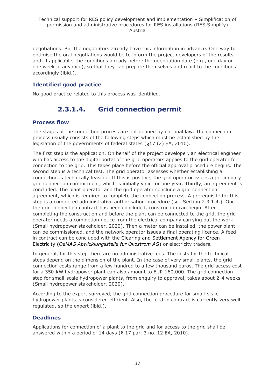negotiations. But the negotiators already have this information in advance. One way to optimise the oral negotiations would be to inform the project developers of the results and, if applicable, the conditions already before the negotiation date (e.g., one day or one week in advance), so that they can prepare themselves and react to the conditions accordingly (ibid.).

## **Identified good practice**

<span id="page-36-0"></span>No good practice related to this process was identified.

## **2.3.1.4. Grid connection permit**

## **Process flow**

The stages of the connection process are not defined by national law. The connection process usually consists of the following steps which must be established by the legislation of the governments of federal states (§17 (2) EA, 2010).

The first step is the application. On behalf of the project developer, an electrical engineer who has access to the digital portal of the grid operators applies to the grid operator for connection to the grid. This takes place before the official approval procedure begins. The second step is a technical test. The grid operator assesses whether establishing a connection is technically feasible. If this is positive, the grid operator issues a preliminary grid connection commitment, which is initially valid for one year. Thirdly, an agreement is concluded. The plant operator and the grid operator conclude a grid connection agreement, which is required to complete the connection process. A prerequisite for this step is a completed administrative authorisation procedure (see Section 2.3.1.4.). Once the grid connection contract has been concluded, construction can begin. After completing the construction and before the plant can be connected to the grid, the grid operator needs a completion notice from the electrical company carrying out the work (Small hydropower stakeholder, 2020). Then a meter can be installed, the power plant can be commissioned, and the network operator issues a final operating licence. A feedin contract can be concluded with the Clearing and Settlement Agency for Green Electricity (*OeMAG Abwicklungsstelle für Ökostrom AG*) or electricity traders.

In general, for this step there are no administrative fees. The costs for the technical steps depend on the dimension of the plant. In the case of very small plants, the grid connection costs range from a few hundred to a few thousand euros. The grid access cost for a 350-kW hydropower plant can also amount to EUR 160,000. The grid connection step for small-scale hydropower plants, from enquiry to approval, takes about 2-4 weeks (Small hydropower stakeholder, 2020).

According to the expert surveyed, the grid connection procedure for small-scale hydropower plants is considered efficient. Also, the feed-in contract is currently very well regulated, so the expert (ibid.).

## **Deadlines**

Applications for connection of a plant to the grid and for access to the grid shall be answered within a period of 14 days (§ 17 par. 3 no. 12 EA, 2010).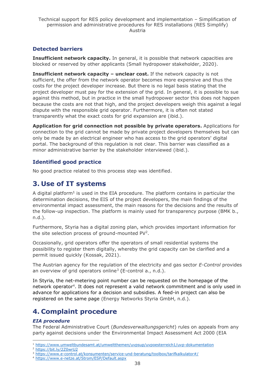## **Detected barriers**

**Insufficient network capacity.** In general, it is possible that network capacities are blocked or reserved by other applicants (Small hydropower stakeholder, 2020).

**Insufficient network capacity - unclear cost.** If the network capacity is not sufficient, the offer from the network operator becomes more expensive and thus the costs for the project developer increase. But there is no legal basis stating that the project developer must pay for the extension of the grid. In general, it is possible to sue against this method, but in practice in the small hydropower sector this does not happen because the costs are not that high, and the project developers weigh this against a legal dispute with the responsible grid operator. Furthermore, it is often not stated transparently what the exact costs for grid expansion are (ibid.).

**Application for grid connection not possible by private operators.** Applications for connection to the grid cannot be made by private project developers themselves but can only be made by an electrical engineer who has access to the grid operators' digital portal. The background of this regulation is not clear. This barrier was classified as a minor administrative barrier by the stakeholder interviewed (ibid.).

## **Identified good practice**

No good practice related to this process step was identified.

## <span id="page-37-0"></span>**3. Use of IT systems**

A digital platform<sup>1</sup> is used in the EIA procedure. The platform contains in particular the determination decisions, the EIS of the project developers, the main findings of the environmental impact assessment, the main reasons for the decisions and the results of the follow-up inspection. The platform is mainly used for transparency purpose (BMK b., n.d.).

Furthermore, Styria has a digital zoning plan, which provides important information for the site selection process of ground-mounted  $PV<sup>2</sup>$ .

Occasionally, grid operators offer the operators of small residential systems the possibility to register them digitally, whereby the grid capacity can be clarified and a permit issued quickly (Kossak, 2021).

The Austrian agency for the regulation of the electricity and gas sector *E-Control* provides an overview of grid operators online<sup>3</sup> (E-control a., n.d.).

In Styria, the net-metering point number can be requested on the homepage of the network operator<sup>4</sup> . It does not represent a valid network commitment and is only used in advance for applications for a decision and subsidies. A feed-in project can also be registered on the same page (Energy Networks Styria GmbH, n.d.).

## <span id="page-37-1"></span>**4. Complaint procedure**

### *EIA procedure*

The Federal Administrative Court (*Bundesverwaltungsgericht*) rules on appeals from any party against decisions under the Environmental Impact Assessment Act 2000 (EIA

<sup>2</sup> <https://bit.ly/2Z0wrU2>

<sup>1</sup> <https://www.umweltbundesamt.at/umweltthemen/uvpsup/uvpoesterreich1/uvp-dokumentation>

<sup>&</sup>lt;sup>3</sup> <https://www.e-control.at/konsumenten/service-und-beratung/toolbox/tarifkalkulator#/>

<sup>4</sup> <https://www.e-netze.at/Strom/ESP/Default.aspx>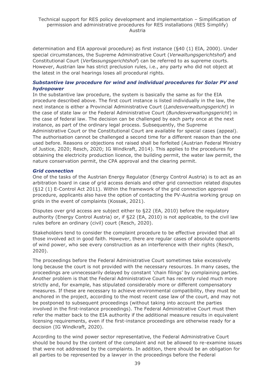determination and EIA approval procedure) as first instance (§40 (1) EIA, 2000). Under special circumstances, the Supreme Administrative Court (*Verwaltungsgerichtshof*) and Constitutional Court (*Verfassungsgerichtshof*) can be referred to as supreme courts. However, Austrian law has strict preclusion rules, i.e., any party who did not object at the latest in the oral hearings loses all procedural rights.

#### *Substantive law procedure for wind and individual procedures for Solar PV and hydropower*

In the substantive law procedure, the system is basically the same as for the EIA procedure described above. The first court instance is listed individually in the law, the next instance is either a Provincial Administrative Court (*Landesverwaltungsgericht*) in the case of state law or the Federal Administrative Court (*Bundesverwaltungsgericht*) in the case of federal law. The decision can be challenged by each party once at the next instance, as part of the ordinary legal process. Subsequently, the Supreme Administrative Court or the Constitutional Court are available for special cases (appeal). The authorisation cannot be challenged a second time for a different reason than the one used before. Reasons or objections not raised shall be forfeited (Austrian Federal Ministry of Justice, 2020; Resch, 2020; IG Windkraft, 2014). This applies to the procedures for obtaining the electricity production licence, the building permit, the water law permit, the nature conservation permit, the CPA approval and the clearing permit.

#### *Grid connection*

One of the tasks of the Austrian Energy Regulator (Energy Control Austria) is to act as an arbitration board in case of grid access denials and other grid connection related disputes (§12 (1) E-Control Act 2011). Within the framework of the grid connection approval procedure, applicants also have the option of contacting the PV-Austria working group on grids in the event of complaints (Kossak, 2021).

Disputes over grid access are subject either to §22 (EA, 2010) before the regulatory authority (Energy Control Austria) or, if §22 (EA, 2010) is not applicable, to the civil law rules before an ordinary (civil) court (Resch, 2020).

Stakeholders tend to consider the complaint procedure to be effective provided that all those involved act in good faith. However, there are regular cases of absolute opponents of wind power, who see every construction as an interference with their rights (Resch, 2020).

The proceedings before the Federal Administrative Court sometimes take excessively long because the court is not provided with the necessary resources. In many cases, the proceedings are unnecessarily delayed by constant 'chain filings' by complaining parties. Another problem is that the Federal Administrative Court has recently ruled much more strictly and, for example, has stipulated considerably more or different compensatory measures. If these are necessary to achieve environmental compatibility, they must be anchored in the project, according to the most recent case law of the court, and may not be postponed to subsequent proceedings (without taking into account the parties involved in the first-instance proceedings). The Federal Administrative Court must then refer the matter back to the EIA authority if the additional measure results in equivalent licensing requirements, even if the first-instance proceedings are otherwise ready for a decision (IG Windkraft, 2020).

According to the wind power sector representative, the Federal Administrative Court should be bound by the content of the complaint and not be allowed to re-examine issues that were not addressed by the complaints. In addition, there should be an obligation for all parties to be represented by a lawyer in the proceedings before the Federal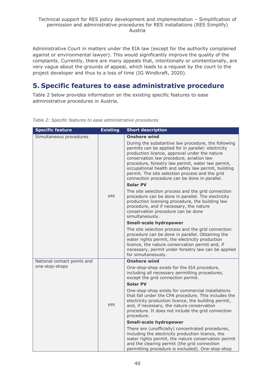Administrative Court in matters under the EIA law (except for the authority complained against or environmental lawyer). This would significantly improve the quality of the complaints. Currently, there are many appeals that, intentionally or unintentionally, are very vague about the grounds of appeal, which leads to a request by the court to the project developer and thus to a loss of time (IG Windkraft, 2020).

## <span id="page-39-0"></span>**5. Specific features to ease administrative procedure**

Table 2 below provides information on the existing specific features to ease administrative procedures in Austria.

| <b>Specific feature</b>     | <b>Existing</b> | <b>Short description</b>                                                                                                                                                                                                                                                                                                                                                                                                |
|-----------------------------|-----------------|-------------------------------------------------------------------------------------------------------------------------------------------------------------------------------------------------------------------------------------------------------------------------------------------------------------------------------------------------------------------------------------------------------------------------|
| Simultaneous procedures     |                 | <b>Onshore wind</b>                                                                                                                                                                                                                                                                                                                                                                                                     |
|                             | yes             | During the substantive law procedure, the following<br>permits can be applied for in parallel: electricity<br>production licence, approval under the nature<br>conservation law procedure, aviation law<br>procedure, forestry law permit, water law permit,<br>occupational health and safety law permit, building<br>permit. The site selection process and the grid<br>connection procedure can be done in parallel. |
|                             |                 | <b>Solar PV</b>                                                                                                                                                                                                                                                                                                                                                                                                         |
|                             |                 | The site selection process and the grid connection<br>procedure can be done in parallel. The electricity<br>production licensing procedure, the building law<br>procedure, and if necessary, the nature<br>conservation procedure can be done<br>simultaneously.                                                                                                                                                        |
|                             |                 | <b>Small-scale hydropower</b>                                                                                                                                                                                                                                                                                                                                                                                           |
|                             |                 | The site selection process and the grid connection<br>procedure can be done in parallel. Obtaining the<br>water rights permit, the electricity production<br>licence, the nature conservation permit and, if<br>necessary, permit under forestry law can be applied<br>for simultaneously.                                                                                                                              |
| National contact points and |                 | <b>Onshore wind</b>                                                                                                                                                                                                                                                                                                                                                                                                     |
| one-stop-shops              |                 | One-stop-shop exists for the EIA procedure,<br>including all necessary permitting procedures,<br>except the grid connection permit.                                                                                                                                                                                                                                                                                     |
|                             |                 | <b>Solar PV</b>                                                                                                                                                                                                                                                                                                                                                                                                         |
|                             | yes             | One-stop-shop exists for commercial installations<br>that fall under the CPA procedure. This includes the<br>electricity production licence, the building permit,<br>and, if necessary, the nature conservation<br>procedure. It does not include the grid connection<br>procedure.                                                                                                                                     |
|                             |                 | <b>Small-scale hydropower</b>                                                                                                                                                                                                                                                                                                                                                                                           |
|                             |                 | There are (unofficially) concentrated procedures,<br>including the electricity production licence, the<br>water rights permit, the nature conservation permit<br>and the clearing permit (the grid connection<br>permitting procedure is excluded). One-stop-shop                                                                                                                                                       |

*Table 2: Specific features to ease administrative procedures*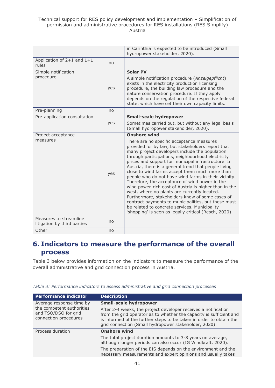#### Technical support for RES policy development and implementation – Simplification of permission and administrative procedures for RES installations (RES Simplify) Austria

|                                                       |     | in Carinthia is expected to be introduced (Small<br>hydropower stakeholder, 2020).                                                                                                                                                                                                                                                                                                                                                                                                                                                                                                                                                                                                                                                                                                                            |
|-------------------------------------------------------|-----|---------------------------------------------------------------------------------------------------------------------------------------------------------------------------------------------------------------------------------------------------------------------------------------------------------------------------------------------------------------------------------------------------------------------------------------------------------------------------------------------------------------------------------------------------------------------------------------------------------------------------------------------------------------------------------------------------------------------------------------------------------------------------------------------------------------|
| Application of $2+1$ and $1+1$<br>rules               | no  |                                                                                                                                                                                                                                                                                                                                                                                                                                                                                                                                                                                                                                                                                                                                                                                                               |
| Simple notification<br>procedure                      |     | <b>Solar PV</b><br>A simple notification procedure (Anzeigepflicht)                                                                                                                                                                                                                                                                                                                                                                                                                                                                                                                                                                                                                                                                                                                                           |
|                                                       | yes | exists in the electricity production licensing<br>procedure, the building law procedure and the<br>nature conservation procedure. If they apply<br>depends on the regulation of the respective federal<br>state, which have set their own capacity limits.                                                                                                                                                                                                                                                                                                                                                                                                                                                                                                                                                    |
| Pre-planning                                          | no  |                                                                                                                                                                                                                                                                                                                                                                                                                                                                                                                                                                                                                                                                                                                                                                                                               |
| Pre-application consultation                          |     | <b>Small-scale hydropower</b>                                                                                                                                                                                                                                                                                                                                                                                                                                                                                                                                                                                                                                                                                                                                                                                 |
|                                                       | yes | Sometimes carried out, but without any legal basis<br>(Small hydropower stakeholder, 2020).                                                                                                                                                                                                                                                                                                                                                                                                                                                                                                                                                                                                                                                                                                                   |
| Project acceptance                                    |     | <b>Onshore wind</b>                                                                                                                                                                                                                                                                                                                                                                                                                                                                                                                                                                                                                                                                                                                                                                                           |
|                                                       |     |                                                                                                                                                                                                                                                                                                                                                                                                                                                                                                                                                                                                                                                                                                                                                                                                               |
| measures                                              | yes | There are no specific acceptance measures<br>provided for by law, but stakeholders report that<br>many project developers include the population<br>through participations, neighbourhood electricity<br>prices and support for municipal infrastructure. In<br>Austria, there is a general trend that people living<br>close to wind farms accept them much more than<br>people who do not have wind farms in their vicinity.<br>Therefore, the acceptance of wind power in the<br>wind power-rich east of Austria is higher than in the<br>west, where no plants are currently located.<br>Furthermore, stakeholders know of some cases of<br>contract payments to municipalities, but these must<br>be related to concrete services. Municipality<br>'shopping' is seen as legally critical (Resch, 2020). |
| Measures to streamline<br>litigation by third parties | no  |                                                                                                                                                                                                                                                                                                                                                                                                                                                                                                                                                                                                                                                                                                                                                                                                               |

## <span id="page-40-0"></span>**6. Indicators to measure the performance of the overall process**

Table 3 below provides information on the indicators to measure the performance of the overall administrative and grid connection process in Austria.

*Table 3: Performance indicators to assess administrative and grid connection processes*

| <b>Performance indicator</b>                                               | <b>Description</b>                                                                                                                                                                                                                                                    |
|----------------------------------------------------------------------------|-----------------------------------------------------------------------------------------------------------------------------------------------------------------------------------------------------------------------------------------------------------------------|
| Average response time by                                                   | <b>Small-scale hydropower</b>                                                                                                                                                                                                                                         |
| the competent authorities<br>and TSO/DSO for grid<br>connection procedures | After 2-4 weeks, the project developer receives a notification<br>from the grid operator as to whether the capacity is sufficient and<br>is informed of the further steps to be taken in order to obtain the<br>grid connection (Small hydropower stakeholder, 2020). |
| Process duration                                                           | <b>Onshore wind</b>                                                                                                                                                                                                                                                   |
|                                                                            | The total project duration amounts to 3-8 years on average,<br>although longer periods can also occur (IG Windkraft, 2020).                                                                                                                                           |
|                                                                            | The preparation of the EIS depends on the environment and the<br>necessary measurements and expert opinions and usually takes                                                                                                                                         |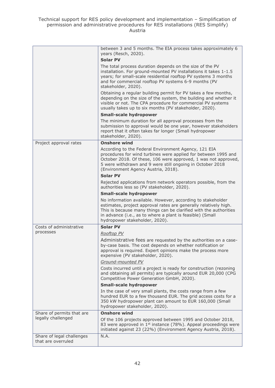|                                                 | between 3 and 5 months. The EIA process takes approximately 6<br>years (Resch, 2020).                                                                                                                                                                                                               |
|-------------------------------------------------|-----------------------------------------------------------------------------------------------------------------------------------------------------------------------------------------------------------------------------------------------------------------------------------------------------|
|                                                 | <b>Solar PV</b>                                                                                                                                                                                                                                                                                     |
|                                                 | The total process duration depends on the size of the PV<br>installation. For ground-mounted PV installations it takes 1-1.5<br>years; for small-scale residential rooftop PV systems 3 months<br>and for commercial rooftop PV systems 6-9 months (PV<br>stakeholder, 2020).                       |
|                                                 | Obtaining a regular building permit for PV takes a few months,<br>depending on the size of the system, the building and whether it<br>visible or not. The CPA procedure for commercial PV systems<br>usually takes up to six months (PV stakeholder, 2020).                                         |
|                                                 | <b>Small-scale hydropower</b>                                                                                                                                                                                                                                                                       |
|                                                 | The minimum duration for all approval processes from the<br>submission to approval would be one year, however stakeholders<br>report that it often takes far longer (Small hydropower<br>stakeholder, 2020).                                                                                        |
| Project approval rates                          | <b>Onshore wind</b>                                                                                                                                                                                                                                                                                 |
|                                                 | According to the Federal Environment Agency, 121 EIA<br>procedures for wind turbines were applied for between 1995 and<br>October 2018. Of these, 106 were approved, 1 was not approved,<br>5 were withdrawn and 9 were still ongoing in October 2018<br>(Environment Agency Austria, 2018).        |
|                                                 | <b>Solar PV</b>                                                                                                                                                                                                                                                                                     |
|                                                 | Rejected applications from network operators possible, from the<br>authorities less so (PV stakeholder, 2020).                                                                                                                                                                                      |
|                                                 | <b>Small-scale hydropower</b>                                                                                                                                                                                                                                                                       |
|                                                 | No information available. However, according to stakeholder<br>estimates, project approval rates are generally relatively high.<br>This is because many things can be clarified with the authorities<br>in advance (i.e., as to where a plant is feasible) (Small<br>hydropower stakeholder, 2020). |
| Costs of administrative                         | <b>Solar PV</b>                                                                                                                                                                                                                                                                                     |
| processes                                       | Rooftop PV                                                                                                                                                                                                                                                                                          |
|                                                 | Administrative fees are requested by the authorities on a case-<br>by-case basis. The cost depends on whether notification or<br>approval is required. Expert opinions make the process more<br>expensive (PV stakeholder, 2020).                                                                   |
|                                                 | Ground-mounted PV                                                                                                                                                                                                                                                                                   |
|                                                 | Costs incurred until a project is ready for construction (rezoning<br>and obtaining all permits) are typically around EUR 20,000 (CPG<br>Competitive Power Generation GmbH, 2020).                                                                                                                  |
|                                                 | <b>Small-scale hydropower</b>                                                                                                                                                                                                                                                                       |
|                                                 | In the case of very small plants, the costs range from a few<br>hundred EUR to a few thousand EUR. The grid access costs for a<br>350 kW hydropower plant can amount to EUR 160,000 (Small<br>hydropower stakeholder, 2020).                                                                        |
| Share of permits that are                       | <b>Onshore wind</b>                                                                                                                                                                                                                                                                                 |
| legally challenged                              | Of the 106 projects approved between 1995 and October 2018,<br>83 were approved in 1 <sup>st</sup> instance (78%). Appeal proceedings were<br>initiated against 23 (22%) (Environment Agency Austria, 2018).                                                                                        |
| Share of legal challenges<br>that are overruled | N.A.                                                                                                                                                                                                                                                                                                |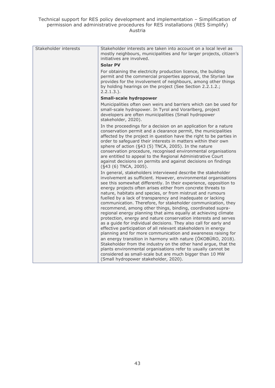| Stakeholder interests | Stakeholder interests are taken into account on a local level as<br>mostly neighbours, municipalities and for larger projects, citizen's<br>initiatives are involved.                                                                                                                                                                                                                                                                                                                                                                                                                                                                                                                                                                                                                                                                                                                                                                                                                                                                                                                                                                                                                    |
|-----------------------|------------------------------------------------------------------------------------------------------------------------------------------------------------------------------------------------------------------------------------------------------------------------------------------------------------------------------------------------------------------------------------------------------------------------------------------------------------------------------------------------------------------------------------------------------------------------------------------------------------------------------------------------------------------------------------------------------------------------------------------------------------------------------------------------------------------------------------------------------------------------------------------------------------------------------------------------------------------------------------------------------------------------------------------------------------------------------------------------------------------------------------------------------------------------------------------|
|                       | <b>Solar PV</b>                                                                                                                                                                                                                                                                                                                                                                                                                                                                                                                                                                                                                                                                                                                                                                                                                                                                                                                                                                                                                                                                                                                                                                          |
|                       | For obtaining the electricity production licence, the building<br>permit and the commercial properties approval, the Styrian law<br>provides for the involvement of neighbours, among other things<br>by holding hearings on the project (See Section 2.2.1.2.;<br>$2.2.1.3.$ ).                                                                                                                                                                                                                                                                                                                                                                                                                                                                                                                                                                                                                                                                                                                                                                                                                                                                                                         |
|                       | <b>Small-scale hydropower</b>                                                                                                                                                                                                                                                                                                                                                                                                                                                                                                                                                                                                                                                                                                                                                                                                                                                                                                                                                                                                                                                                                                                                                            |
|                       | Municipalities often own weirs and barriers which can be used for<br>small-scale hydropower. In Tyrol and Vorarlberg, project<br>developers are often municipalities (Small hydropower<br>stakeholder, 2020).                                                                                                                                                                                                                                                                                                                                                                                                                                                                                                                                                                                                                                                                                                                                                                                                                                                                                                                                                                            |
|                       | In the proceedings for a decision on an application for a nature<br>conservation permit and a clearance permit, the municipalities<br>affected by the project in question have the right to be parties in<br>order to safeguard their interests in matters within their own<br>sphere of action (§43 (5) TNCA, 2005). In the nature<br>conservation procedure, recognised environmental organisations<br>are entitled to appeal to the Regional Administrative Court<br>against decisions on permits and against decisions on findings<br>(§43 (6) TNCA, 2005).                                                                                                                                                                                                                                                                                                                                                                                                                                                                                                                                                                                                                          |
|                       | In general, stakeholders interviewed describe the stakeholder<br>involvement as sufficient. However, environmental organisations<br>see this somewhat differently. In their experience, opposition to<br>energy projects often arises either from concrete threats to<br>nature, habitats and species, or from mistrust and rumours<br>fuelled by a lack of transparency and inadequate or lacking<br>communication. Therefore, for stakeholder communication, they<br>recommend, among other things, binding, coordinated supra-<br>regional energy planning that aims equally at achieving climate<br>protection, energy and nature conservation interests and serves<br>as a guide for individual decisions. They also call for early and<br>effective participation of all relevant stakeholders in energy<br>planning and for more communication and awareness raising for<br>an energy transition in harmony with nature (ÖKOBÜRO, 2018).<br>Stakeholder from the industry on the other hand argue, that the<br>plants environmental organisations refer to usually cannot be<br>considered as small-scale but are much bigger than 10 MW<br>(Small hydropower stakeholder, 2020). |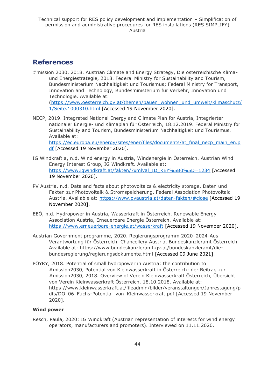## <span id="page-43-0"></span>**References**

#mission 2030, 2018. Austrian Climate and Energy Strategy, Die österreichische Klimaund Energiestrategie, 2018. Federal Ministry for Sustainability and Tourism, Bundesministerium Nachhaltigkeit und Tourismus; Federal Ministry for Transport, Innovation and Technology, Bundesministerium für Verkehr, Innovation und Technologie. Available at:

[\(https://www.oesterreich.gv.at/themen/bauen\\_wohnen\\_und\\_umwelt/klimaschutz/](https://www.oesterreich.gv.at/themen/bauen_wohnen_und_umwelt/klimaschutz/1/Seite.1000310.html) [1/Seite.1000310.html](https://www.oesterreich.gv.at/themen/bauen_wohnen_und_umwelt/klimaschutz/1/Seite.1000310.html) [Accessed 19 November 2020].

- NECP, 2019. Integrated National Energy and Climate Plan for Austria, Integrierter nationaler Energie- und Klimaplan für Österreich, 18.12.2019. Federal Ministry for Sustainability and Tourism, Bundesministerium Nachhaltigkeit und Tourismus. Available at: [https://ec.europa.eu/energy/sites/ener/files/documents/at\\_final\\_necp\\_main\\_en.p](https://ec.europa.eu/energy/sites/ener/files/documents/at_final_necp_main_en.pdf) [df](https://ec.europa.eu/energy/sites/ener/files/documents/at_final_necp_main_en.pdf) [Accessed 19 November 2020].
- IG Windkraft a, n.d. Wind energy in Austria, Windenergie in Österreich. Austrian Wind Energy Interest Group, IG Windkraft. Available at: [https://www.igwindkraft.at/fakten/?xmlval\\_ID\\_KEY%5B0%5D=1234](https://www.igwindkraft.at/fakten/?xmlval_ID_KEY%5B0%5D=1234) [Accessed 19 November 2020].
- PV Austria, n.d. Data and facts about photovoltaics & electricity storage, Daten und Fakten zur Photovoltaik & Stromspeicherung. Federal Association Photovoltaic Austria. Available at:<https://www.pvaustria.at/daten-fakten/#close> [Accessed 19 November 2020].
- EEÖ, n.d. Hydropower in Austria, Wasserkraft in Österreich. Renewable Energy Association Austria, Erneuerbare Energie Österreich. Available at: <https://www.erneuerbare-energie.at/wasserkraft> [Accessed 19 November 2020].
- Austrian Government programme, 2020. Regierungsprogramm 2020–2024-Aus Verantwortung für Österreich. Chancellery Austria, Bundeskanzleramt Österreich. Available at: https://www.bundeskanzleramt.gv.at/bundeskanzleramt/diebundesregierung/regierungsdokumente.html [Accessed 09 June 2021].
- PÖYRY, 2018. Potential of small hydropower in Austria: the contribution to #mission2030, Potential von Kleinwasserkraft in Österreich: der Beitrag zur #mission2030, 2018. Overview of Verein Kleinwasserkraft Österreich, Übersicht von Verein Kleinwasserkraft Österreich, 18.10.2018. Available at: [https://www.kleinwasserkraft.at/fileadmin/bilder/veranstaltungen/Jahrestagung/p](https://www.kleinwasserkraft.at/fileadmin/bilder/veranstaltungen/Jahrestagung/pdfs/DO_06_Fuchs-Potential_von_Kleinwasserkraft.pdf) [dfs/DO\\_06\\_Fuchs-Potential\\_von\\_Kleinwasserkraft.pdf](https://www.kleinwasserkraft.at/fileadmin/bilder/veranstaltungen/Jahrestagung/pdfs/DO_06_Fuchs-Potential_von_Kleinwasserkraft.pdf) [Accessed 19 November 2020].

#### **Wind power**

Resch, Paula, 2020: IG Windkraft (Austrian representation of interests for wind energy operators, manufacturers and promoters). Interviewed on 11.11.2020.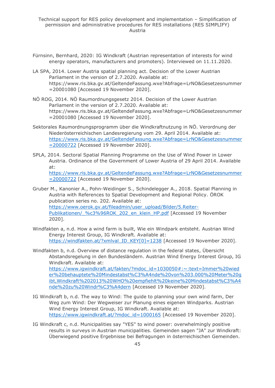- Fürnsinn, Bernhard, 2020: IG Windkraft (Austrian representation of interests for wind energy operators, manufacturers and promoters). Interviewed on 11.11.2020.
- LA SPA, 2014. Lower Austria spatial planning act. Decision of the Lower Austrian Parliament in the version of 2.7.2020. Available at: [https://www.ris.bka.gv.at/GeltendeFassung.wxe?Abfrage=LrNO&Gesetzesnummer](https://www.ris.bka.gv.at/GeltendeFassung.wxe?Abfrage=LrNO&Gesetzesnummer=20001080) [=20001080](https://www.ris.bka.gv.at/GeltendeFassung.wxe?Abfrage=LrNO&Gesetzesnummer=20001080) [Accessed 19 November 2020].
- NÖ ROG, 2014. NÖ Raumordnungsgesetz 2014. Decision of the Lower Austrian Parliament in the version of 2.7.2020. Available at: [https://www.ris.bka.gv.at/GeltendeFassung.wxe?Abfrage=LrNO&Gesetzesnummer](https://www.ris.bka.gv.at/GeltendeFassung.wxe?Abfrage=LrNO&Gesetzesnummer=20001080) [=20001080](https://www.ris.bka.gv.at/GeltendeFassung.wxe?Abfrage=LrNO&Gesetzesnummer=20001080) [Accessed 19 November 2020].
- Sektorales Raumordnungsprogramm über die Windkraftnutzung in NÖ. Verordnung der Niederösterreichischen Landesregierung vom 29. April 2014. Available at: [https://www.ris.bka.gv.at/GeltendeFassung.wxe?Abfrage=LrNO&Gesetzesnummer](https://www.ris.bka.gv.at/GeltendeFassung.wxe?Abfrage=LrNO&Gesetzesnummer=20000722) [=20000722](https://www.ris.bka.gv.at/GeltendeFassung.wxe?Abfrage=LrNO&Gesetzesnummer=20000722) [Accessed 19 November 2020].
- SPLA, 2014. Sectoral Spatial Planning Programme on the Use of Wind Power in Lower Austria. Ordinance of the Government of Lower Austria of 29 April 2014. Available at: [https://www.ris.bka.gv.at/GeltendeFassung.wxe?Abfrage=LrNO&Gesetzesnummer](https://www.ris.bka.gv.at/GeltendeFassung.wxe?Abfrage=LrNO&Gesetzesnummer=20000722) [=20000722](https://www.ris.bka.gv.at/GeltendeFassung.wxe?Abfrage=LrNO&Gesetzesnummer=20000722) [Accessed 19 November 2020].
- Gruber M., Kanonier A., Pohn-Weidinger S., Schindelegger A., 2018. Spatial Planning in Austria with References to Spatial Development and Regional Policy. ÖROK publication series no. 202. Available at: [https://www.oerok.gv.at/fileadmin/user\\_upload/Bilder/5.Reiter-](https://www.oerok.gv.at/fileadmin/user_upload/Bilder/5.Reiter-Publikationen/_%c3%96ROK_202_en_klein_HP.pdf)Publikationen/ %c3%96ROK\_202\_en\_klein\_HP.pdf [Accessed 19 November 2020].
- Windfakten a, n.d. How a wind farm is built, Wie ein Windpark entsteht. Austrian Wind Energy Interest Group, IG Windkraft. Available at: [https://windfakten.at/?xmlval\\_ID\\_KEY\[0\]=1238](https://windfakten.at/?xmlval_ID_KEY%5b0%5d=1238) [Accessed 19 November 2020].
- Windfakten b, n.d. Overview of distance regulation in the federal states, Übersicht Abstandsregelung in den Bundesländern. Austrian Wind Energy Interest Group, IG Windkraft. Available at: [https://www.igwindkraft.at/fakten/?mdoc\\_id=1030050#:~:text=Immer%20wied](https://www.igwindkraft.at/fakten/?mdoc_id=1030050#:~:text=Immer%20wieder%20behauptete%20Mindestabst%C3%A4nde%20von%203.000%20Meter%20gibt,Windkraft%202013%20WHO%20empfiehlt%20keine%20Mindestabst%C3%A4nde%20zu%20Windr%C3%A4dern) [er%20behauptete%20Mindestabst%C3%A4nde%20von%203.000%20Meter%20g](https://www.igwindkraft.at/fakten/?mdoc_id=1030050#:~:text=Immer%20wieder%20behauptete%20Mindestabst%C3%A4nde%20von%203.000%20Meter%20gibt,Windkraft%202013%20WHO%20empfiehlt%20keine%20Mindestabst%C3%A4nde%20zu%20Windr%C3%A4dern) [ibt,Windkraft%202013%20WHO%20empfiehlt%20keine%20Mindestabst%C3%A4](https://www.igwindkraft.at/fakten/?mdoc_id=1030050#:~:text=Immer%20wieder%20behauptete%20Mindestabst%C3%A4nde%20von%203.000%20Meter%20gibt,Windkraft%202013%20WHO%20empfiehlt%20keine%20Mindestabst%C3%A4nde%20zu%20Windr%C3%A4dern) [nde%20zu%20Windr%C3%A4dern](https://www.igwindkraft.at/fakten/?mdoc_id=1030050#:~:text=Immer%20wieder%20behauptete%20Mindestabst%C3%A4nde%20von%203.000%20Meter%20gibt,Windkraft%202013%20WHO%20empfiehlt%20keine%20Mindestabst%C3%A4nde%20zu%20Windr%C3%A4dern) [Accessed 19 November 2020].
- IG Windkraft b, n.d. The way to Wind: The guide to planning your own wind farm, Der Weg zum Wind: Der Wegweiser zur Planung eines eigenen Windparks. Austrian Wind Energy Interest Group, IG Windkraft. Available at: [https://www.igwindkraft.at/?mdoc\\_id=1000165](https://www.igwindkraft.at/?mdoc_id=1000165) [Accessed 19 November 2020].
- IG Windkraft c, n.d. Municipalities say "YES" to wind power: overwhelmingly positive results in surveys in Austrian municipalities. Gemeinden sagen "JA" zur Windkraft: Überwiegend positive Ergebnisse bei Befragungen in österreichischen Gemeinden.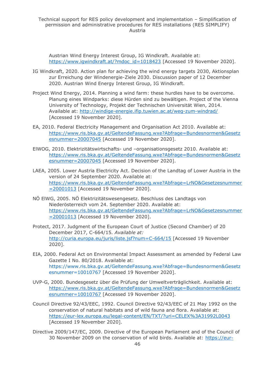Austrian Wind Energy Interest Group, IG Windkraft. Available at: [https://www.igwindkraft.at/?mdoc\\_id=1018423](https://www.igwindkraft.at/?mdoc_id=1018423) [Accessed 19 November 2020].

- IG Windkraft, 2020. Action plan for achieving the wind energy targets 2030, Aktionsplan zur Erreichung der Windenergie-Ziele 2030. Discussion paper of 12 December 2020. Austrian Wind Energy Interest Group, IG Windkraft.
- Project Wind Energy, 2014. Planning a wind farm: these hurdles have to be overcome. Planung eines Windparks: diese Hürden sind zu bewältigen. Project of the Vienna University of Technology, Projekt der Technischen Universität Wien, 2014. Available at:<http://windige-energie.ifip.tuwien.ac.at/weg-zum-windrad/> [Accessed 19 November 2020].
- EA, 2010. Federal Electricity Management and Organisation Act 2010. Available at: [https://www.ris.bka.gv.at/GeltendeFassung.wxe?Abfrage=Bundesnormen&Gesetz](https://www.ris.bka.gv.at/GeltendeFassung.wxe?Abfrage=Bundesnormen&Gesetzesnummer=20007045) [esnummer=20007045](https://www.ris.bka.gv.at/GeltendeFassung.wxe?Abfrage=Bundesnormen&Gesetzesnummer=20007045) [Accessed 19 November 2020].
- ElWOG, 2010. Elektrizitätswirtschafts- und –organisationsgesetz 2010. Available at: [https://www.ris.bka.gv.at/GeltendeFassung.wxe?Abfrage=Bundesnormen&Gesetz](https://www.ris.bka.gv.at/GeltendeFassung.wxe?Abfrage=Bundesnormen&Gesetzesnummer=20007045) [esnummer=20007045](https://www.ris.bka.gv.at/GeltendeFassung.wxe?Abfrage=Bundesnormen&Gesetzesnummer=20007045) [Accessed 19 November 2020].
- LAEA, 2005. Lower Austria Electricity Act. Decision of the Landtag of Lower Austria in the version of 24 September 2020. Available at: [https://www.ris.bka.gv.at/GeltendeFassung.wxe?Abfrage=LrNO&Gesetzesnummer](https://www.ris.bka.gv.at/GeltendeFassung.wxe?Abfrage=LrNO&Gesetzesnummer=20001013) [=20001013](https://www.ris.bka.gv.at/GeltendeFassung.wxe?Abfrage=LrNO&Gesetzesnummer=20001013) [Accessed 19 November 2020].
- NÖ ElWG, 2005. NÖ Elektrizitätswesengesetz. Beschluss des Landtags von Niederösterreich vom 24. September 2020. Available at: [https://www.ris.bka.gv.at/GeltendeFassung.wxe?Abfrage=LrNO&Gesetzesnummer](https://www.ris.bka.gv.at/GeltendeFassung.wxe?Abfrage=LrNO&Gesetzesnummer=20001013) [=20001013](https://www.ris.bka.gv.at/GeltendeFassung.wxe?Abfrage=LrNO&Gesetzesnummer=20001013) [Accessed 19 November 2020].
- Protect, 2017. Judgment of the European Court of Justice (Second Chamber) of 20 December 2017, C-664/15*. Available at:*  <http://curia.europa.eu/juris/liste.jsf?num=C-664/15> [Accessed 19 November 2020].
- EIA, 2000. Federal Act on Environmental Impact Assessment as amended by Federal Law Gazette I No. 80/2018. Available at: [https://www.ris.bka.gv.at/GeltendeFassung.wxe?Abfrage=Bundesnormen&Gesetz](https://www.ris.bka.gv.at/GeltendeFassung.wxe?Abfrage=Bundesnormen&Gesetzesnummer=10010767) [esnummer=10010767](https://www.ris.bka.gv.at/GeltendeFassung.wxe?Abfrage=Bundesnormen&Gesetzesnummer=10010767) [Accessed 19 November 2020].
- UVP-G, 2000. Bundesgesetz über die Prüfung der Umweltverträglichkeit. Available at: [https://www.ris.bka.gv.at/GeltendeFassung.wxe?Abfrage=Bundesnormen&Gesetz](https://www.ris.bka.gv.at/GeltendeFassung.wxe?Abfrage=Bundesnormen&Gesetzesnummer=10010767) [esnummer=10010767](https://www.ris.bka.gv.at/GeltendeFassung.wxe?Abfrage=Bundesnormen&Gesetzesnummer=10010767) [Accessed 19 November 2020].
- Council Directive 92/43/EEC, 1992. Council Directive 92/43/EEC of 21 May 1992 on the conservation of natural habitats and of wild fauna and flora. Available at: <https://eur-lex.europa.eu/legal-content/EN/TXT/?uri=CELEX%3A31992L0043> [Accessed 19 November 2020].
- Directive 2009/147/EC, 2009. Directive of the European Parliament and of the Council of 30 November 2009 on the conservation of wild birds. Available at: [https://eur-](https://eur-lex.europa.eu/legal-content/EN/TXT/PDF/?uri=CELEX:32009L0147&from=DE)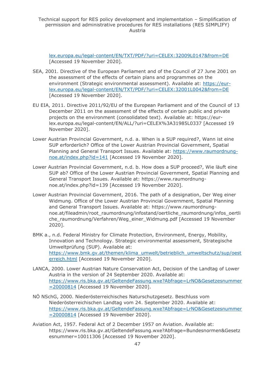[lex.europa.eu/legal-content/EN/TXT/PDF/?uri=CELEX:32009L0147&from=DE](https://eur-lex.europa.eu/legal-content/EN/TXT/PDF/?uri=CELEX:32009L0147&from=DE) [Accessed 19 November 2020].

- SEA, 2001. Directive of the European Parliament and of the Council of 27 June 2001 on the assessment of the effects of certain plans and programmes on the environment (Strategic environmental assessment). Available at: [https://eur](https://eur-lex.europa.eu/legal-content/EN/TXT/PDF/?uri=CELEX:32001L0042&from=DE)[lex.europa.eu/legal-content/EN/TXT/PDF/?uri=CELEX:32001L0042&from=DE](https://eur-lex.europa.eu/legal-content/EN/TXT/PDF/?uri=CELEX:32001L0042&from=DE) [Accessed 19 November 2020].
- EU EIA, 2011. Directive 2011/92/EU of the European Parliament and of the Council of 13 December 2011 on the assessment of the effects of certain public and private projects on the environment (consolidated text). Available at: https://eurlex.europa.eu/legal-content/EN/ALL/?uri=CELEX%3A31985L0337 [Accessed 19 November 2020].
- Lower Austrian Provincial Government, n.d. a. When is a SUP required?, Wann ist eine SUP erforderlich? Office of the Lower Austrian Provincial Government, Spatial Planning and General Transport Issues. Available at: [https://www.raumordnung](https://www.raumordnung-noe.at/index.php?id=141)[noe.at/index.php?id=141](https://www.raumordnung-noe.at/index.php?id=141) [Accessed 19 November 2020].
- Lower Austrian Provincial Government, n.d. b. How does a SUP proceed?, Wie läuft eine SUP ab? Office of the Lower Austrian Provincial Government, Spatial Planning and General Transport Issues. Available at: https://www.raumordnungnoe.at/index.php?id=139 [Accessed 19 November 2020].
- Lower Austrian Provincial Government, 2016. The path of a designation, Der Weg einer Widmung. Office of the Lower Austrian Provincial Government, Spatial Planning and General Transport Issues. Available at: https://www.raumordnungnoe.at/fileadmin/root\_raumordnung/infostand/oertliche\_raumordnung/infos\_oertli che\_raumordnung/Verfahren/Weg\_einer\_Widmung.pdf [Accessed 19 November 2020].
- BMK a., n.d. Federal Ministry for Climate Protection, Environment, Energy, Mobility, Innovation and Technology. Strategic environmental assessment, Strategische Umweltprüfung (SUP). Available at: [https://www.bmk.gv.at/themen/klima\\_umwelt/betrieblich\\_umweltschutz/sup/oest](https://www.bmk.gv.at/themen/klima_umwelt/betrieblich_umweltschutz/sup/oesterreich.html) [erreich.html](https://www.bmk.gv.at/themen/klima_umwelt/betrieblich_umweltschutz/sup/oesterreich.html) [Accessed 19 November 2020].
- LANCA, 2000. Lower Austrian Nature Conservation Act, Decision of the Landtag of Lower Austria in the version of 24 September 2020. Available at: [https://www.ris.bka.gv.at/GeltendeFassung.wxe?Abfrage=LrNO&Gesetzesnummer](https://www.ris.bka.gv.at/GeltendeFassung.wxe?Abfrage=LrNO&Gesetzesnummer=20000814) [=20000814](https://www.ris.bka.gv.at/GeltendeFassung.wxe?Abfrage=LrNO&Gesetzesnummer=20000814) [Accessed 19 November 2020].
- NÖ NSchG, 2000. Niederösterreichisches Naturschutzgesetz. Beschluss vom Niederösterreichischen Landtag vom 24. September 2020. Available at: [https://www.ris.bka.gv.at/GeltendeFassung.wxe?Abfrage=LrNO&Gesetzesnummer](https://www.ris.bka.gv.at/GeltendeFassung.wxe?Abfrage=LrNO&Gesetzesnummer=20000814) [=20000814](https://www.ris.bka.gv.at/GeltendeFassung.wxe?Abfrage=LrNO&Gesetzesnummer=20000814) [Accessed 19 November 2020].
- Aviation Act, 1957. Federal Act of 2 December 1957 on Aviation. Available at: https://www.ris.bka.gv.at/GeltendeFassung.wxe?Abfrage=Bundesnormen&Gesetz esnummer=10011306 [Accessed 19 November 2020].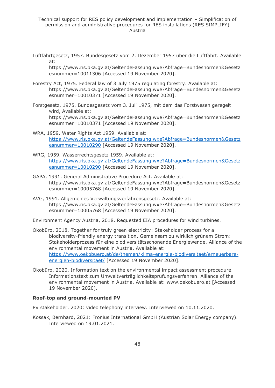Luftfahrtgesetz, 1957. Bundesgesetz vom 2. Dezember 1957 über die Luftfahrt. Available at:

https://www.ris.bka.gv.at/GeltendeFassung.wxe?Abfrage=Bundesnormen&Gesetz esnummer=10011306 [Accessed 19 November 2020].

- Forestry Act, 1975. Federal law of 3 July 1975 regulating forestry. Available at: https://www.ris.bka.gv.at/GeltendeFassung.wxe?Abfrage=Bundesnormen&Gesetz esnummer=10010371 [Accessed 19 November 2020].
- Forstgesetz, 1975. Bundesgesetz vom 3. Juli 1975, mit dem das Forstwesen geregelt wird, Available at: https://www.ris.bka.gv.at/GeltendeFassung.wxe?Abfrage=Bundesnormen&Gesetz esnummer=10010371 [Accessed 19 November 2020].
- WRA, 1959. Water Rights Act 1959. Available at: [https://www.ris.bka.gv.at/GeltendeFassung.wxe?Abfrage=Bundesnormen&Gesetz](https://www.ris.bka.gv.at/GeltendeFassung.wxe?Abfrage=Bundesnormen&Gesetzesnummer=10010290) [esnummer=10010290](https://www.ris.bka.gv.at/GeltendeFassung.wxe?Abfrage=Bundesnormen&Gesetzesnummer=10010290) [Accessed 19 November 2020].
- WRG, 1959. Wasserrechtsgesetz 1959. Available at: [https://www.ris.bka.gv.at/GeltendeFassung.wxe?Abfrage=Bundesnormen&Gesetz](https://www.ris.bka.gv.at/GeltendeFassung.wxe?Abfrage=Bundesnormen&Gesetzesnummer=10010290) [esnummer=10010290](https://www.ris.bka.gv.at/GeltendeFassung.wxe?Abfrage=Bundesnormen&Gesetzesnummer=10010290) [Accessed 19 November 2020].
- GAPA, 1991. General Administrative Procedure Act. Available at: https://www.ris.bka.gv.at/GeltendeFassung.wxe?Abfrage=Bundesnormen&Gesetz esnummer=10005768 [Accessed 19 November 2020].
- AVG, 1991. Allgemeines Verwaltungsverfahrensgesetz. Available at: https://www.ris.bka.gv.at/GeltendeFassung.wxe?Abfrage=Bundesnormen&Gesetz esnummer=10005768 [Accessed 19 November 2020].

Environment Agency Austria, 2018. Requested EIA procedures for wind turbines.

- Ökobüro, 2018. Together for truly green electricity: Stakeholder process for a biodiversity-friendly energy transition. Gemeinsam zu wirklich grünem Strom: Stakeholderprozess für eine biodiversitätsschonende Energiewende. Alliance of the environmental movement in Austria. Available at: [https://www.oekobuero.at/de/themen/klima-energie-biodiversitaet/erneuerbare](https://www.oekobuero.at/de/themen/klima-energie-biodiversitaet/erneuerbare-energien-biodiversitaet/)[energien-biodiversitaet/](https://www.oekobuero.at/de/themen/klima-energie-biodiversitaet/erneuerbare-energien-biodiversitaet/) [Accessed 19 November 2020].
- Ökobüro, 2020. Information text on the environmental impact assessment procedure. Informationstext zum Umweltverträglichkeitsprüfungsverfahren. Alliance of the environmental movement in Austria. Available at: www.oekobuero.at [Accessed 19 November 2020].

#### **Roof-top and ground-mounted PV**

PV stakeholder, 2020: video telephony interview. Interviewed on 10.11.2020.

Kossak, Bernhard, 2021: Fronius International GmbH (Austrian Solar Energy company). Interviewed on 19.01.2021.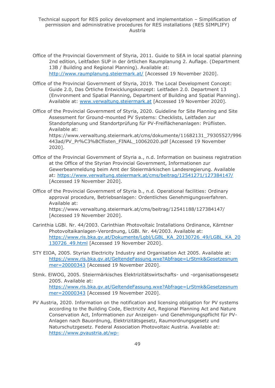- Office of the Provincial Government of Styria, 2011. Guide to SEA in local spatial planning 2nd edition, Leitfaden SUP in der örtlichen Raumplanung 2. Auflage. (Department 13B / Building and Regional Planning). Available at: <http://www.raumplanung.steiermark.at/> [Accessed 19 November 2020].
- Office of the Provincial Government of Styria, 2019. The Local Development Concept: Guide 2.0, Das Örtliche Entwicklungskonzept: Leitfaden 2.0. Department 13 (Environment and Spatial Planning, Department of Building and Spatial Planning). Available at: [www.verwaltung.steiermark.at](http://www.verwaltung.steiermark.at/) [Accessed 19 November 2020].
- Office of the Provincial Government of Styria, 2020. Guideline for Site Planning and Site Assessment for Ground-mounted PV Systems: Checklists, Leitfaden zur Standortplanung und Standortprüfung für PV-Freiflächenanlagen: Prüflisten. Available at:

https://www.verwaltung.steiermark.at/cms/dokumente/11682131\_79305527/996 443ad/PV\_Pr%C3%BCflisten\_FINAL\_10062020.pdf [Accessed 19 November 2020].

- Office of the Provincial Government of Styria a., n.d. Information on business registration at the Office of the Styrian Provincial Government, Informationen zur Gewerbeanmeldung beim Amt der Steiermärkischen Landesregierung. Available at:<https://www.verwaltung.steiermark.at/cms/beitrag/12541271/127384147/> [Accessed 19 November 2020].
- Office of the Provincial Government of Styria b., n.d. Operational facilities: Ordinary approval procedure, Betriebsanlagen: Ordentliches Genehmigungsverfahren. Available at: https://www.verwaltung.steiermark.at/cms/beitrag/12541188/127384147/ [Accessed 19 November 2020].
- Carinthia LGBl. Nr. 44/2003. Carinthian Photovoltaic Installations Ordinance, Kärntner Photovoltaikanlagen-Verordnung, LGBl. Nr. 44/2003. Available at: [https://www.ris.bka.gv.at/Dokumente/Lgbl/LGBL\\_KA\\_20130726\\_49/LGBL\\_KA\\_20](https://www.ris.bka.gv.at/Dokumente/Lgbl/LGBL_KA_20130726_49/LGBL_KA_20130726_49.html) 130726 49.html [Accessed 19 November 2020].
- STY EIOA, 2005. Styrian Electricity Industry and Organisation Act 2005. Available at: [https://www.ris.bka.gv.at/GeltendeFassung.wxe?Abfrage=LrStmk&Gesetzesnum](https://www.ris.bka.gv.at/GeltendeFassung.wxe?Abfrage=LrStmk&Gesetzesnummer=20000343) [mer=20000343](https://www.ris.bka.gv.at/GeltendeFassung.wxe?Abfrage=LrStmk&Gesetzesnummer=20000343) [Accessed 19 November 2020].
- Stmk. ElWOG, 2005. Steiermärkisches Elektrizitätswirtschafts- und -organisationsgesetz 2005. Available at: [https://www.ris.bka.gv.at/GeltendeFassung.wxe?Abfrage=LrStmk&Gesetzesnum](https://www.ris.bka.gv.at/GeltendeFassung.wxe?Abfrage=LrStmk&Gesetzesnummer=20000343) [mer=20000343](https://www.ris.bka.gv.at/GeltendeFassung.wxe?Abfrage=LrStmk&Gesetzesnummer=20000343) [Accessed 19 November 2020].
- PV Austria, 2020. Information on the notification and licensing obligation for PV systems according to the Building Code, Electricity Act, Regional Planning Act and Nature Conservation Act, Informationen zur Anzeigen- und Genehmigungspflicht für PV-Anlagen nach Bauordnung, Elektrizitätsgesetz, Raumordnungsgesetz und Naturschutzgesetz. Federal Association Photovoltaic Austria. Available at: [https://www.pvaustria.at/wp-](https://www.pvaustria.at/wp-content/uploads/Genehmigungspflichten_Bundesl%C3%A4nder_AUT.pdf)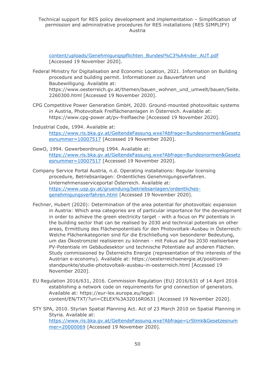Technical support for RES policy development and implementation – Simplification of permission and administrative procedures for RES installations (RES SIMPLIFY) Austria

[content/uploads/Genehmigungspflichten\\_Bundesl%C3%A4nder\\_AUT.pdf](https://www.pvaustria.at/wp-content/uploads/Genehmigungspflichten_Bundesl%C3%A4nder_AUT.pdf) [Accessed 19 November 2020].

Federal Ministry for Digitalisation and Economic Location, 2021. Information on Building procedure and building permit. Informationen zu Bauverfahren und Baubewilligung. Available at: [https://www.oesterreich.gv.at/themen/bauen\\_wohnen\\_und\\_umwelt/bauen/Seite.](https://www.oesterreich.gv.at/themen/bauen_wohnen_und_umwelt/bauen/Seite.2260300.html)

[2260300.html](https://www.oesterreich.gv.at/themen/bauen_wohnen_und_umwelt/bauen/Seite.2260300.html) [Accessed 19 November 2020].

- CPG Competitive Power Generation GmbH, 2020. Ground-mounted photovoltaic systems in Austria, Photovoltaik Freiflächenanlagen in Österreich. Available at: <https://www.cpg-power.at/pv-freiflaeche> [Accessed 19 November 2020].
- Industrial Code, 1994. Available at: [https://www.ris.bka.gv.at/GeltendeFassung.wxe?Abfrage=Bundesnormen&Gesetz](https://www.ris.bka.gv.at/GeltendeFassung.wxe?Abfrage=Bundesnormen&Gesetzesnummer=10007517) [esnummer=10007517](https://www.ris.bka.gv.at/GeltendeFassung.wxe?Abfrage=Bundesnormen&Gesetzesnummer=10007517) [Accessed 19 November 2020].
- GewO, 1994. Gewerbeordnung 1994. Available at: [https://www.ris.bka.gv.at/GeltendeFassung.wxe?Abfrage=Bundesnormen&Gesetz](https://www.ris.bka.gv.at/GeltendeFassung.wxe?Abfrage=Bundesnormen&Gesetzesnummer=10007517) [esnummer=10007517](https://www.ris.bka.gv.at/GeltendeFassung.wxe?Abfrage=Bundesnormen&Gesetzesnummer=10007517) [Accessed 19 November 2020].
- Company Service Portal Austria, n.d. Operating installations: Regular licensing procedure, Betriebsanlagen: Ordentliches Genehmigungsverfahren. Unternehmensserviceportal Österreich. Available at: [https://www.usp.gv.at/gruendung/betriebsanlagen/ordentliches](https://www.usp.gv.at/gruendung/betriebsanlagen/ordentliches-genehmigungsverfahren.html)[genehmigungsverfahren.html](https://www.usp.gv.at/gruendung/betriebsanlagen/ordentliches-genehmigungsverfahren.html) [Accessed 19 November 2020].
- Fechner, Hubert (2020): Determination of the area potential for photovoltaic expansion in Austria: Which area categories are of particular importance for the development in order to achieve the green electricity target - with a focus on PV potentials in the building sector that can be realised by 2030 and technical potentials on other areas, Ermittlung des Flächenpotentials für den Photovoltaik-Ausbau in Österreich: Welche Flächenkategorien sind für die Erschließung von besonderer Bedeutung, um das Ökostromziel realisieren zu können - mit Fokus auf bis 2030 realisierbare PV-Potentiale im Gebäudesektor und technische Potentiale auf anderen Flächen. Study commissioned by Österreichs Energie (representation of the interests of the Austrian e-economy). Available at: https://oesterreichsenergie.at/positionenstandpunkte/studie-photovoltaik-ausbau-in-oesterreich.html [Accessed 19 November 2020].
- EU Regulation 2016/631, 2016. Commission Regulation (EU) 2016/631 of 14 April 2016 establishing a network code on requirements for grid connection of generators. Available at: https://eur-lex.europa.eu/legalcontent/EN/TXT/?uri=CELEX%3A32016R0631 [Accessed 19 November 2020].
- STY SPA, 2010. Styrian Spatial Planning Act. Act of 23 March 2010 on Spatial Planning in Styria. Available at: [https://www.ris.bka.gv.at/GeltendeFassung.wxe?Abfrage=LrStmk&Gesetzesnum](https://www.ris.bka.gv.at/GeltendeFassung.wxe?Abfrage=LrStmk&Gesetzesnummer=20000069) [mer=20000069](https://www.ris.bka.gv.at/GeltendeFassung.wxe?Abfrage=LrStmk&Gesetzesnummer=20000069) [Accessed 19 November 2020].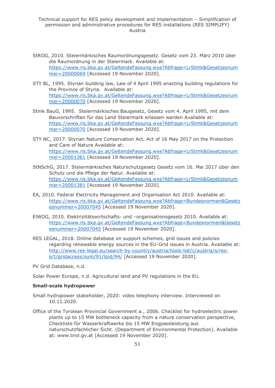- StROG, 2010. Steiermärkisches Raumordnungsgesetz. Gesetz vom 23. März 2010 über die Raumordnung in der Steiermark. Available at: [https://www.ris.bka.gv.at/GeltendeFassung.wxe?Abfrage=LrStmk&Gesetzesnum](https://www.ris.bka.gv.at/GeltendeFassung.wxe?Abfrage=LrStmk&Gesetzesnummer=20000069) [mer=20000069](https://www.ris.bka.gv.at/GeltendeFassung.wxe?Abfrage=LrStmk&Gesetzesnummer=20000069) [Accessed 19 November 2020].
- STY BL, 1995. Styrian building law, Law of 4 April 1995 enacting building regulations for the Province of Styria. Available at: [https://www.ris.bka.gv.at/GeltendeFassung.wxe?Abfrage=LrStmk&Gesetzesnum](https://www.ris.bka.gv.at/GeltendeFassung.wxe?Abfrage=LrStmk&Gesetzesnummer=20000070) [mer=20000070](https://www.ris.bka.gv.at/GeltendeFassung.wxe?Abfrage=LrStmk&Gesetzesnummer=20000070) [Accessed 19 November 2020].
- Stmk BauG, 1995. Steiermärkisches Baugesetz, Gesetz vom 4. April 1995, mit dem Bauvorschriften für das Land Steiermark erlassen werden Available at: [https://www.ris.bka.gv.at/GeltendeFassung.wxe?Abfrage=LrStmk&Gesetzesnum](https://www.ris.bka.gv.at/GeltendeFassung.wxe?Abfrage=LrStmk&Gesetzesnummer=20000070) [mer=20000070](https://www.ris.bka.gv.at/GeltendeFassung.wxe?Abfrage=LrStmk&Gesetzesnummer=20000070) [Accessed 19 November 2020].
- STY NC, 2017. Styrian Nature Conservation Act. Act of 16 May 2017 on the Protection and Care of Nature Available at: [https://www.ris.bka.gv.at/GeltendeFassung.wxe?Abfrage=LrStmk&Gesetzesnum](https://www.ris.bka.gv.at/GeltendeFassung.wxe?Abfrage=LrStmk&Gesetzesnummer=20001381) [mer=20001381](https://www.ris.bka.gv.at/GeltendeFassung.wxe?Abfrage=LrStmk&Gesetzesnummer=20001381) [Accessed 19 November 2020].
- StNSchG, 2017. Steiermärkisches Naturschutzgesetz Gesetz vom 16. Mai 2017 über den Schutz und die Pflege der Natur. Available at: [https://www.ris.bka.gv.at/GeltendeFassung.wxe?Abfrage=LrStmk&Gesetzesnum](https://www.ris.bka.gv.at/GeltendeFassung.wxe?Abfrage=LrStmk&Gesetzesnummer=20001381) [mer=20001381](https://www.ris.bka.gv.at/GeltendeFassung.wxe?Abfrage=LrStmk&Gesetzesnummer=20001381) [Accessed 19 November 2020].
- EA, 2010. Federal Electricity Management and Organisation Act 2010. Available at: [https://www.ris.bka.gv.at/GeltendeFassung.wxe?Abfrage=Bundesnormen&Gesetz](https://www.ris.bka.gv.at/GeltendeFassung.wxe?Abfrage=Bundesnormen&Gesetzesnummer=20007045) [esnummer=20007045](https://www.ris.bka.gv.at/GeltendeFassung.wxe?Abfrage=Bundesnormen&Gesetzesnummer=20007045) [Accessed 19 November 2020].
- ElWOG, 2010. Elektrizitätswirtschafts- und –organisationsgesetz 2010. Available at: [https://www.ris.bka.gv.at/GeltendeFassung.wxe?Abfrage=Bundesnormen&Gesetz](https://www.ris.bka.gv.at/GeltendeFassung.wxe?Abfrage=Bundesnormen&Gesetzesnummer=20007045) [esnummer=20007045](https://www.ris.bka.gv.at/GeltendeFassung.wxe?Abfrage=Bundesnormen&Gesetzesnummer=20007045) [Accessed 19 November 2020].
- RES LEGAL, 2018. Online database on support schemes, grid issues and policies regarding renewable energy sources in the EU-Grid issues in Austria. Available at: [http://www.res-legal.eu/search-by-country/austria/tools-list/c/austria/s/res](http://www.res-legal.eu/search-by-country/austria/tools-list/c/austria/s/res-e/t/gridaccess/sum/91/lpid/94/)[e/t/gridaccess/sum/91/lpid/94/](http://www.res-legal.eu/search-by-country/austria/tools-list/c/austria/s/res-e/t/gridaccess/sum/91/lpid/94/) [Accessed 19 November 2020].

PV Grid Database, n.d.

Solar Power Europe, n.d. Agricultural land and PV regulations in the EU.

#### **Small-scale hydropower**

- Small hydropower stakeholder, 2020: video telephony interview. Interviewed on 10.11.2020.
- Office of the Tyrolean Provincial Government a., 2006. Checklist for hydroelectric power plants up to 15 MW bottleneck capacity from a nature conservation perspective, Checkliste für Wasserkraftwerke bis 15 MW Engpassleistung aus naturschutzfachlicher Sicht. (Department of Environmental Protection). Available at: www.tirol.gv.at [Accessed 19 November 2020].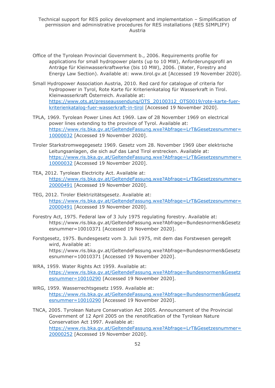- Office of the Tyrolean Provincial Government b., 2006. Requirements profile for applications for small hydropower plants (up to 10 MW), Anforderungsprofil an Anträge für Kleinwasserkraftwerke (bis 10 MW), 2006. (Water, Forestry and Energy Law Section). Available at: www.tirol.gv.at [Accessed 19 November 2020].
- Small Hydropower Association Austria, 2010. Red card for catalogue of criteria for hydropower in Tyrol, Rote Karte für Kriterienkatalog für Wasserkraft in Tirol. Kleinwasserkraft Österreich. Available at: [https://www.ots.at/presseaussendung/OTS\\_20100312\\_OTS0019/rote-karte-fuer](https://www.ots.at/presseaussendung/OTS_20100312_OTS0019/rote-karte-fuer-kriterienkatalog-fuer-wasserkraft-in-tirol)[kriterienkatalog-fuer-wasserkraft-in-tirol](https://www.ots.at/presseaussendung/OTS_20100312_OTS0019/rote-karte-fuer-kriterienkatalog-fuer-wasserkraft-in-tirol) [Accessed 19 November 2020].
- TPLA, 1969. Tyrolean Power Lines Act 1969. Law of 28 November 1969 on electrical power lines extending to the province of Tyrol. Available at: [https://www.ris.bka.gv.at/GeltendeFassung.wxe?Abfrage=LrT&Gesetzesnummer=](https://www.ris.bka.gv.at/GeltendeFassung.wxe?Abfrage=LrT&Gesetzesnummer=10000032) [10000032](https://www.ris.bka.gv.at/GeltendeFassung.wxe?Abfrage=LrT&Gesetzesnummer=10000032) [Accessed 19 November 2020].
- Tiroler Starkstromwegegesetz 1969. Gesetz vom 28. November 1969 über elektrische Leitungsanlagen, die sich auf das Land Tirol erstrecken. Available at: [https://www.ris.bka.gv.at/GeltendeFassung.wxe?Abfrage=LrT&Gesetzesnummer=](https://www.ris.bka.gv.at/GeltendeFassung.wxe?Abfrage=LrT&Gesetzesnummer=10000032) [10000032](https://www.ris.bka.gv.at/GeltendeFassung.wxe?Abfrage=LrT&Gesetzesnummer=10000032) [Accessed 19 November 2020].
- TEA, 2012. Tyrolean Electricity Act. Available at: [https://www.ris.bka.gv.at/GeltendeFassung.wxe?Abfrage=LrT&Gesetzesnummer=](https://www.ris.bka.gv.at/GeltendeFassung.wxe?Abfrage=LrT&Gesetzesnummer=20000491) [20000491](https://www.ris.bka.gv.at/GeltendeFassung.wxe?Abfrage=LrT&Gesetzesnummer=20000491) [Accessed 19 November 2020].
- TEG, 2012. Tiroler Elektrizitätsgesetz. Available at: [https://www.ris.bka.gv.at/GeltendeFassung.wxe?Abfrage=LrT&Gesetzesnummer=](https://www.ris.bka.gv.at/GeltendeFassung.wxe?Abfrage=LrT&Gesetzesnummer=20000491) [20000491](https://www.ris.bka.gv.at/GeltendeFassung.wxe?Abfrage=LrT&Gesetzesnummer=20000491) [Accessed 19 November 2020].
- Forestry Act, 1975. Federal law of 3 July 1975 regulating forestry. Available at: https://www.ris.bka.gv.at/GeltendeFassung.wxe?Abfrage=Bundesnormen&Gesetz esnummer=10010371 [Accessed 19 November 2020].
- Forstgesetz, 1975. Bundesgesetz vom 3. Juli 1975, mit dem das Forstwesen geregelt wird, Available at: https://www.ris.bka.gv.at/GeltendeFassung.wxe?Abfrage=Bundesnormen&Gesetz esnummer=10010371 [Accessed 19 November 2020].
- WRA, 1959. Water Rights Act 1959. Available at: [https://www.ris.bka.gv.at/GeltendeFassung.wxe?Abfrage=Bundesnormen&Gesetz](https://www.ris.bka.gv.at/GeltendeFassung.wxe?Abfrage=Bundesnormen&Gesetzesnummer=10010290) [esnummer=10010290](https://www.ris.bka.gv.at/GeltendeFassung.wxe?Abfrage=Bundesnormen&Gesetzesnummer=10010290) [Accessed 19 November 2020].
- WRG, 1959. Wasserrechtsgesetz 1959. Available at: [https://www.ris.bka.gv.at/GeltendeFassung.wxe?Abfrage=Bundesnormen&Gesetz](https://www.ris.bka.gv.at/GeltendeFassung.wxe?Abfrage=Bundesnormen&Gesetzesnummer=10010290) [esnummer=10010290](https://www.ris.bka.gv.at/GeltendeFassung.wxe?Abfrage=Bundesnormen&Gesetzesnummer=10010290) [Accessed 19 November 2020].
- TNCA, 2005. Tyrolean Nature Conservation Act 2005. Announcement of the Provincial Government of 12 April 2005 on the renotification of the Tyrolean Nature Conservation Act 1997. Available at: [https://www.ris.bka.gv.at/GeltendeFassung.wxe?Abfrage=LrT&Gesetzesnummer=](https://www.ris.bka.gv.at/GeltendeFassung.wxe?Abfrage=LrT&Gesetzesnummer=20000252) [20000252](https://www.ris.bka.gv.at/GeltendeFassung.wxe?Abfrage=LrT&Gesetzesnummer=20000252) [Accessed 19 November 2020].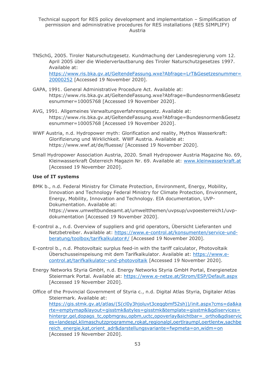- TNSchG, 2005. Tiroler Naturschutzgesetz. Kundmachung der Landesregierung vom 12. April 2005 über die Wiederverlautbarung des Tiroler Naturschutzgesetzes 1997. Available at: [https://www.ris.bka.gv.at/GeltendeFassung.wxe?Abfrage=LrT&Gesetzesnummer=](https://www.ris.bka.gv.at/GeltendeFassung.wxe?Abfrage=LrT&Gesetzesnummer=20000252) [20000252](https://www.ris.bka.gv.at/GeltendeFassung.wxe?Abfrage=LrT&Gesetzesnummer=20000252) [Accessed 19 November 2020].
- GAPA, 1991. General Administrative Procedure Act. Available at: https://www.ris.bka.gv.at/GeltendeFassung.wxe?Abfrage=Bundesnormen&Gesetz esnummer=10005768 [Accessed 19 November 2020].
- AVG, 1991. Allgemeines Verwaltungsverfahrensgesetz. Available at: https://www.ris.bka.gv.at/GeltendeFassung.wxe?Abfrage=Bundesnormen&Gesetz esnummer=10005768 [Accessed 19 November 2020].
- WWF Austria, n.d. Hydropower myth: Glorification and reality, Mythos Wasserkraft: Glorifizierung und Wirklichkeit. WWF Austria. Available at: https://www.wwf.at/de/fluesse/ [Accessed 19 November 2020].
- Small Hydropower Association Austria, 2020. Small Hydropower Austria Magazine No. 69, Kleinwasserkraft Österreich Magazin Nr. 69. Available at: [www.kleinwasserkraft.at](http://www.kleinwasserkraft.at/) [Accessed 19 November 2020].

#### **Use of IT systems**

BMK b., n.d. Federal Ministry for Climate Protection, Environment, Energy, Mobility, Innovation and Technology Federal Ministry for Climate Protection, Environment, Energy, Mobility, Innovation and Technology. EIA documentation, UVP-Dokumentation. Available at:

https://www.umweltbundesamt.at/umweltthemen/uvpsup/uvpoesterreich1/uvpdokumentation [Accessed 19 November 2020].

- E-control a., n.d. Overview of suppliers and grid operators, Übersicht Lieferanten und Netzbetreiber. Available at: [https://www.e-control.at/konsumenten/service-und](https://www.e-control.at/konsumenten/service-und-beratung/toolbox/tarifkalkulator#/)[beratung/toolbox/tarifkalkulator#/](https://www.e-control.at/konsumenten/service-und-beratung/toolbox/tarifkalkulator#/) [Accessed 19 November 2020].
- E-control b., n.d. Photovoltaic surplus feed-in with the tariff calculator, Photovoltaik Überschusseinspeisung mit dem Tarifkalkulator. Available at: [https://www.e](https://www.e-control.at/tarifkalkulator-und-photovoltaik)[control.at/tarifkalkulator-und-photovoltaik](https://www.e-control.at/tarifkalkulator-und-photovoltaik) [Accessed 19 November 2020].
- Energy Networks Styria GmbH, n.d. Energy Networks Styria GmbH Portal, Energienetze Steiermark Portal. Available at: <https://www.e-netze.at/Strom/ESP/Default.aspx> [Accessed 19 November 2020].
- Office of the Provincial Government of Styria c., n.d. Digital Atlas Styria, Digitaler Atlas Steiermark. Available at: [https://gis.stmk.gv.at/atlas/\(S\(cl0y3hjoluvt3ceqgbmf52sh\)\)/init.aspx?cms=da&ka](https://gis.stmk.gv.at/atlas/(S(cl0y3hjoluvt3ceqgbmf52sh))/init.aspx?cms=da&karte=emptymap&layout=gisstmk&styles=gisstmk&template=gisstmk&gdiservices=hintergr,gel,dopags_tc,opbmgrau,opbm,uctc,opoverlay&sichtbar=_ortho&gdiservices=landespl,klimaschutzprogramme,rokat,regionalpl,oertlraumpl,oertlentw,sachbereich_energie,kat,orient_adr&darstellungsvariante=fwpmeta=on,widm=on) [rte=emptymap&layout=gisstmk&styles=gisstmk&template=gisstmk&gdiservices=](https://gis.stmk.gv.at/atlas/(S(cl0y3hjoluvt3ceqgbmf52sh))/init.aspx?cms=da&karte=emptymap&layout=gisstmk&styles=gisstmk&template=gisstmk&gdiservices=hintergr,gel,dopags_tc,opbmgrau,opbm,uctc,opoverlay&sichtbar=_ortho&gdiservices=landespl,klimaschutzprogramme,rokat,regionalpl,oertlraumpl,oertlentw,sachbereich_energie,kat,orient_adr&darstellungsvariante=fwpmeta=on,widm=on) [hintergr,gel,dopags\\_tc,opbmgrau,opbm,uctc,opoverlay&sichtbar=\\_ortho&gdiservic](https://gis.stmk.gv.at/atlas/(S(cl0y3hjoluvt3ceqgbmf52sh))/init.aspx?cms=da&karte=emptymap&layout=gisstmk&styles=gisstmk&template=gisstmk&gdiservices=hintergr,gel,dopags_tc,opbmgrau,opbm,uctc,opoverlay&sichtbar=_ortho&gdiservices=landespl,klimaschutzprogramme,rokat,regionalpl,oertlraumpl,oertlentw,sachbereich_energie,kat,orient_adr&darstellungsvariante=fwpmeta=on,widm=on) [es=landespl,klimaschutzprogramme,rokat,regionalpl,oertlraumpl,oertlentw,sachbe](https://gis.stmk.gv.at/atlas/(S(cl0y3hjoluvt3ceqgbmf52sh))/init.aspx?cms=da&karte=emptymap&layout=gisstmk&styles=gisstmk&template=gisstmk&gdiservices=hintergr,gel,dopags_tc,opbmgrau,opbm,uctc,opoverlay&sichtbar=_ortho&gdiservices=landespl,klimaschutzprogramme,rokat,regionalpl,oertlraumpl,oertlentw,sachbereich_energie,kat,orient_adr&darstellungsvariante=fwpmeta=on,widm=on) [reich\\_energie,kat,orient\\_adr&darstellungsvariante=fwpmeta=on,widm=on](https://gis.stmk.gv.at/atlas/(S(cl0y3hjoluvt3ceqgbmf52sh))/init.aspx?cms=da&karte=emptymap&layout=gisstmk&styles=gisstmk&template=gisstmk&gdiservices=hintergr,gel,dopags_tc,opbmgrau,opbm,uctc,opoverlay&sichtbar=_ortho&gdiservices=landespl,klimaschutzprogramme,rokat,regionalpl,oertlraumpl,oertlentw,sachbereich_energie,kat,orient_adr&darstellungsvariante=fwpmeta=on,widm=on) [Accessed 19 November 2020].